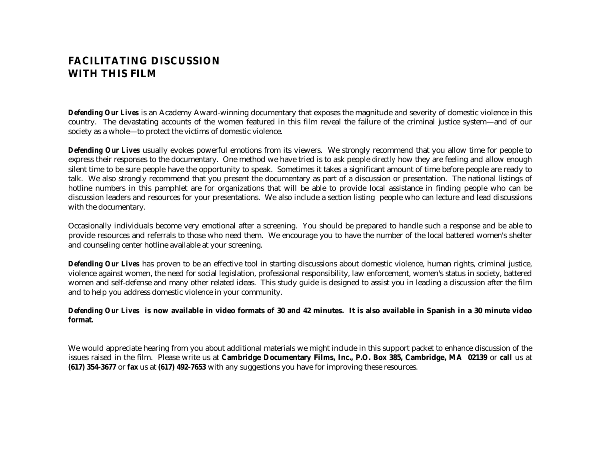# **FACILITATING DISCUSSION WITH THIS FILM**

*Defending Our Lives* is an Academy Award-winning documentary that exposes the magnitude and severity of domestic violence in this country. The devastating accounts of the women featured in this film reveal the failure of the criminal justice system—and of our society as a whole—to protect the victims of domestic violence.

*Defending Our Lives* usually evokes powerful emotions from its viewers. We strongly recommend that you allow time for people to express their responses to the documentary. One method we have tried is to ask people *directly* how they are feeling and allow enough silent time to be sure people have the opportunity to speak. Sometimes it takes a significant amount of time before people are ready to talk. We also strongly recommend that you present the documentary as part of a discussion or presentation. The national listings of hotline numbers in this pamphlet are for organizations that will be able to provide local assistance in finding people who can be discussion leaders and resources for your presentations. We also include a section listing people who can lecture and lead discussions with the documentary.

Occasionally individuals become very emotional after a screening. You should be prepared to handle such a response and be able to provide resources and referrals to those who need them. We encourage you to have the number of the local battered women's shelter and counseling center hotline available at your screening.

*Defending Our Lives* has proven to be an effective tool in starting discussions about domestic violence, human rights, criminal justice, violence against women, the need for social legislation, professional responsibility, law enforcement, women's status in society, battered women and self-defense and many other related ideas. This study guide is designed to assist you in leading a discussion after the film and to help you address domestic violence in your community.

#### *Defending Our Lives* **is now available in video formats of 30 and 42 minutes. It is also available in Spanish in a 30 minute video format.**

We would appreciate hearing from you about additional materials we might include in this support packet to enhance discussion of the issues raised in the film. Please write us at **Cambridge Documentary Films, Inc., P.O. Box 385, Cambridge, MA 02139** or **call** us at **(617) 354-3677** or **fax** us at **(617) 492-7653** with any suggestions you have for improving these resources.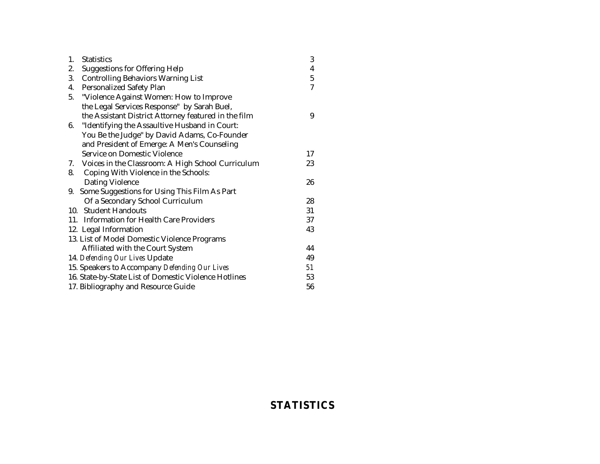| 1.                                              | <b>Statistics</b>                                     | 3              |
|-------------------------------------------------|-------------------------------------------------------|----------------|
| 2.                                              | <b>Suggestions for Offering Help</b>                  | 4              |
| 3.<br><b>Controlling Behaviors Warning List</b> | $\overline{5}$                                        |                |
| 4.                                              | <b>Personalized Safety Plan</b>                       | $\overline{7}$ |
| 5.                                              | "Violence Against Women: How to Improve               |                |
|                                                 | the Legal Services Response" by Sarah Buel,           |                |
|                                                 | the Assistant District Attorney featured in the film  | 9              |
| 6.                                              | "Identifying the Assaultive Husband in Court:         |                |
|                                                 | You Be the Judge" by David Adams, Co-Founder          |                |
|                                                 | and President of Emerge: A Men's Counseling           |                |
|                                                 | Service on Domestic Violence                          | 17             |
| 7.                                              | Voices in the Classroom: A High School Curriculum     | 23             |
| 8.                                              | Coping With Violence in the Schools:                  |                |
|                                                 | <b>Dating Violence</b>                                | 26             |
| 9.                                              | Some Suggestions for Using This Film As Part          |                |
|                                                 | Of a Secondary School Curriculum                      | 28             |
|                                                 | 10. Student Handouts                                  | 31             |
|                                                 | 11. Information for Health Care Providers             | 37             |
|                                                 | 12. Legal Information                                 | 43             |
|                                                 | 13. List of Model Domestic Violence Programs          |                |
|                                                 | <b>Affiliated with the Court System</b>               | 44             |
|                                                 | 14. Defending Our Lives Update                        | 49             |
|                                                 | 15. Speakers to Accompany Defending Our Lives         | 51             |
|                                                 | 16. State-by-State List of Domestic Violence Hotlines | 53             |
|                                                 | 17. Bibliography and Resource Guide                   | 56             |

# **STATISTICS**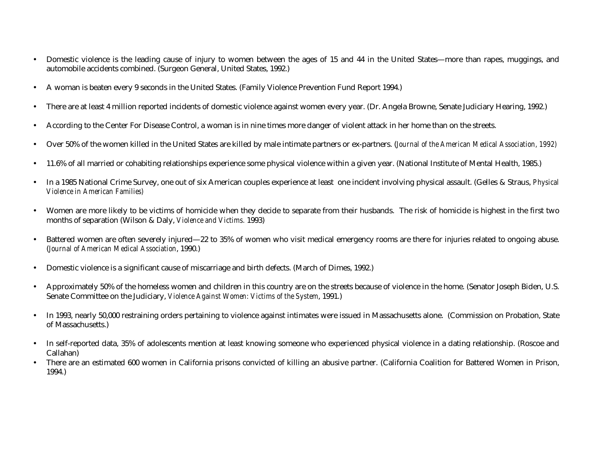- Domestic violence is the leading cause of injury to women between the ages of 15 and 44 in the United States—more than rapes, muggings, and automobile accidents combined. (Surgeon General, United States, 1992.)
- A woman is beaten every 9 seconds in the United States. (Family Violence Prevention Fund Report 1994.)
- There are at least 4 million reported incidents of domestic violence against women every year. (Dr. Angela Browne, Senate Judiciary Hearing, 1992.)
- According to the Center For Disease Control, a woman is in nine times more danger of violent attack in her home than on the streets.
- Over 50% of the women killed in the United States are killed by male intimate partners or ex-partners. (*Journal of the American Medical Association, 1992)*
- 11.6% of all married or cohabiting relationships experience some physical violence within a given year. (National Institute of Mental Health, 1985.)
- In a 1985 National Crime Survey, one out of six American couples experience at least one incident involving physical assault. (Gelles & Straus, *Physical Violence in American Families)*
- Women are more likely to be victims of homicide when they decide to separate from their husbands. The risk of homicide is highest in the first two months of separation (Wilson & Daly, *Violence and Victims.* 1993)
- Battered women are often severely injured—22 to 35% of women who visit medical emergency rooms are there for injuries related to ongoing abuse. (*Journal of American Medical Association*, 1990.)
- Domestic violence is a significant cause of miscarriage and birth defects. (March of Dimes, 1992.)
- Approximately 50% of the homeless women and children in this country are on the streets because of violence in the home. (Senator Joseph Biden, U.S. Senate Committee on the Judiciary, *Violence Against Women: Victims of the System*, 1991.)
- In 1993, nearly 50,000 restraining orders pertaining to violence against intimates were issued in Massachusetts alone. (Commission on Probation, State of Massachusetts.)
- In self-reported data, 35% of adolescents mention at least knowing someone who experienced physical violence in a dating relationship. (Roscoe and Callahan)
- There are an estimated 600 women in California prisons convicted of killing an abusive partner. (California Coalition for Battered Women in Prison, 1994.)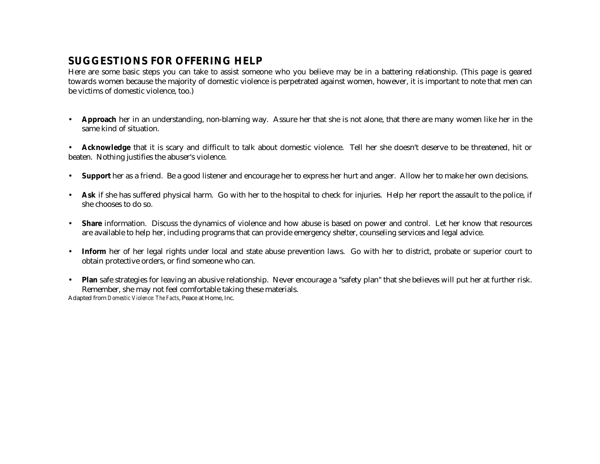# **SUGGESTIONS FOR OFFERING HELP**

Here are some basic steps you can take to assist someone who you believe may be in a battering relationship. (This page is geared towards women because the majority of domestic violence is perpetrated against women, however, it is important to note that men can be victims of domestic violence, too.)

• **Approach** her in an understanding, non-blaming way. Assure her that she is not alone, that there are many women like her in the same kind of situation.

• **Acknowledge** that it is scary and difficult to talk about domestic violence. Tell her she doesn't deserve to be threatened, hit or beaten. Nothing justifies the abuser's violence.

- **Support** her as a friend. Be a good listener and encourage her to express her hurt and anger. Allow her to make her own decisions.
- **Ask** if she has suffered physical harm. Go with her to the hospital to check for injuries. Help her report the assault to the police, if she chooses to do so.
- **Share** information. Discuss the dynamics of violence and how abuse is based on power and control. Let her know that resources are available to help her, including programs that can provide emergency shelter, counseling services and legal advice.
- **Inform** her of her legal rights under local and state abuse prevention laws. Go with her to district, probate or superior court to obtain protective orders, or find someone who can.
- **Plan** safe strategies for leaving an abusive relationship. Never encourage a "safety plan" that she believes will put her at further risk. Remember, she may not feel comfortable taking these materials. Adapted from *Domestic Violence: The Facts*, Peace at Home, Inc.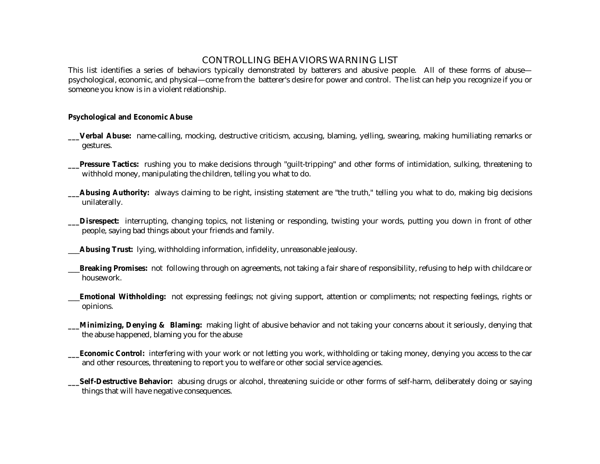### CONTROLLING BEHAVIORS WARNING LIST

This list identifies a series of behaviors typically demonstrated by batterers and abusive people. All of these forms of abuse psychological, economic, and physical—come from the batterer's desire for power and control. The list can help you recognize if you or someone you know is in a violent relationship.

#### **Psychological and Economic Abuse**

- **\_\_\_Verbal Abuse:** name-calling, mocking, destructive criticism, accusing, blaming, yelling, swearing, making humiliating remarks or gestures.
- Pressure Tactics: rushing you to make decisions through "guilt-tripping" and other forms of intimidation, sulking, threatening to withhold money, manipulating the children, telling you what to do.
- **\_Abusing Authority:** always claiming to be right, insisting statement are "the truth," telling you what to do, making big decisions unilaterally.
- **\_\_\_Disrespect:** interrupting, changing topics, not listening or responding, twisting your words, putting you down in front of other people, saying bad things about your friends and family.
- \_\_\_**Abusing Trust:** lying, withholding information, infidelity, unreasonable jealousy.
- **Breaking Promises:** not following through on agreements, not taking a fair share of responsibility, refusing to help with childcare or housework.
- \_\_\_**Emotional Withholding:** not expressing feelings; not giving support, attention or compliments; not respecting feelings, rights or opinions.
- **Minimizing, Denying & Blaming:** making light of abusive behavior and not taking your concerns about it seriously, denying that the abuse happened, blaming you for the abuse
- **Economic Control:** interfering with your work or not letting you work, withholding or taking money, denying you access to the car and other resources, threatening to report you to welfare or other social service agencies.
- **Self-Destructive Behavior:** abusing drugs or alcohol, threatening suicide or other forms of self-harm, deliberately doing or saying things that will have negative consequences.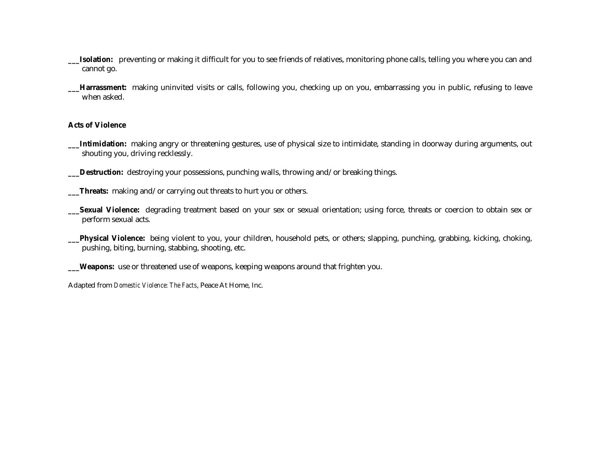- **\_\_\_Isolation:** preventing or making it difficult for you to see friends of relatives, monitoring phone calls, telling you where you can and cannot go.
- **Harrassment:** making uninvited visits or calls, following you, checking up on you, embarrassing you in public, refusing to leave when asked.

#### **Acts of Violence**

- **\_\_\_Intimidation:** making angry or threatening gestures, use of physical size to intimidate, standing in doorway during arguments, out shouting you, driving recklessly.
- **\_\_\_Destruction:** destroying your possessions, punching walls, throwing and/or breaking things.
- **Threats:** making and/or carrying out threats to hurt you or others.
- **\_\_\_Sexual Violence:** degrading treatment based on your sex or sexual orientation; using force, threats or coercion to obtain sex or perform sexual acts.
- **\_\_\_Physical Violence:** being violent to you, your children, household pets, or others; slapping, punching, grabbing, kicking, choking, pushing, biting, burning, stabbing, shooting, etc.
- **\_\_\_Weapons:** use or threatened use of weapons, keeping weapons around that frighten you.

Adapted from *Domestic Violence: The Facts*, Peace At Home, Inc.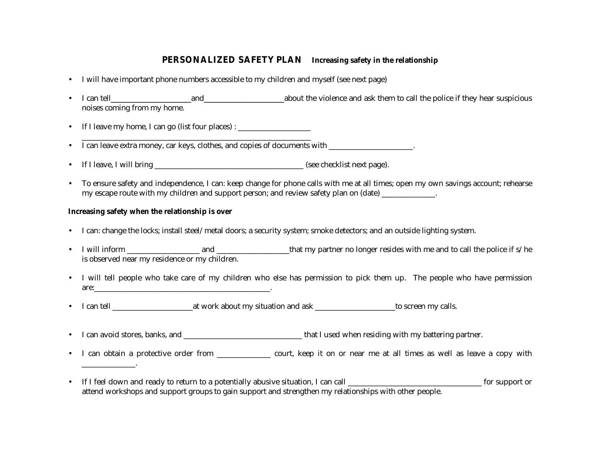### **PERSONALIZED SAFETY PLAN Increasing safety in the relationship**

- I will have important phone numbers accessible to my children and myself (see next page)
- I can tell and and and and and ask them to call the police if they hear suspicious noises coming from my home.
- If I leave my home, I can go (list four places) :

\_\_\_\_\_\_\_\_\_\_\_\_\_\_\_\_\_\_\_\_\_\_\_\_\_\_\_\_\_\_\_\_\_\_\_\_\_\_\_\_\_\_\_\_\_\_\_\_\_\_\_\_\_\_\_\_\_\_\_\_

- I can leave extra money, car keys, clothes, and copies of documents with \_\_\_\_\_\_\_\_\_\_\_\_\_\_\_\_\_\_\_\_\_\_\_.
- If I leave, I will bring \_\_\_\_\_\_\_\_\_\_\_\_\_\_\_\_\_\_\_\_\_\_\_\_\_\_\_\_\_\_\_\_\_\_\_\_\_\_\_ (see checklist next page).
- To ensure safety and independence, I can: keep change for phone calls with me at all times; open my own savings account; rehearse my escape route with my children and support person; and review safety plan on (date) \_\_\_\_\_\_\_\_\_\_\_\_\_.

#### **Increasing safety when the relationship is over**

\_\_\_\_\_\_\_\_\_\_\_\_\_\_.

- I can: change the locks; install steel/metal doors; a security system; smoke detectors; and an outside lighting system.
- I will inform \_\_\_\_\_\_\_\_\_\_\_\_\_\_\_\_\_\_\_ and \_\_\_\_\_\_\_\_\_\_\_\_\_\_\_\_\_\_\_that my partner no longer resides with me and to call the police if s/he is observed near my residence or my children.
- I will tell people who take care of my children who else has permission to pick them up. The people who have permission are:
- I can tell \_\_\_\_\_\_\_\_\_\_\_\_\_\_\_\_\_\_\_\_\_at work about my situation and ask \_\_\_\_\_\_\_\_\_\_\_\_\_\_\_\_\_\_\_\_\_to screen my calls.
- I can avoid stores, banks, and \_\_\_\_\_\_\_\_\_\_\_\_\_\_\_\_\_\_\_\_\_\_\_\_\_\_\_\_\_\_\_ that I used when residing with my battering partner.
- I can obtain a protective order from \_\_\_\_\_\_\_\_\_\_\_\_\_\_ court, keep it on or near me at all times as well as leave a copy with
- If I feel down and ready to return to a potentially abusive situation, I can call \_\_\_\_\_\_\_\_\_\_\_\_\_\_\_\_\_\_\_\_\_\_\_\_\_\_\_\_\_\_\_\_\_\_\_ for support or attend workshops and support groups to gain support and strengthen my relationships with other people.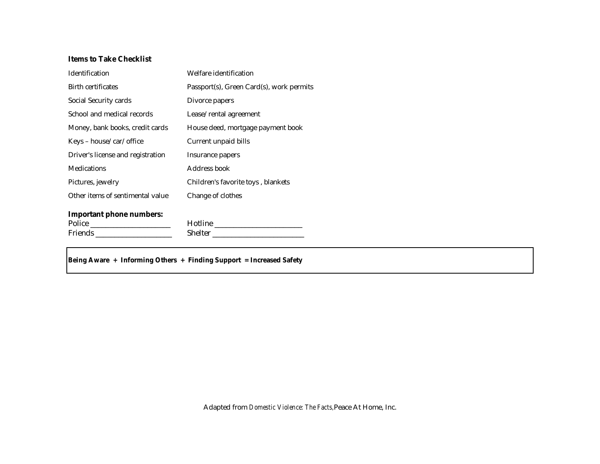### **Items to Take Checklist**

| Identification                    | Welfare identification                   |
|-----------------------------------|------------------------------------------|
| <b>Birth certificates</b>         | Passport(s), Green Card(s), work permits |
| Social Security cards             | Divorce papers                           |
| School and medical records        | Lease/rental agreement                   |
| Money, bank books, credit cards   | House deed, mortgage payment book        |
| $Keys - house/car/office$         | Current unpaid bills                     |
| Driver's license and registration | Insurance papers                         |
| <b>Medications</b>                | Address book                             |
| Pictures, jewelry                 | Children's favorite toys, blankets       |
| Other items of sentimental value  | Change of clothes                        |
| <b>Important phone numbers:</b>   |                                          |

| D                    |       |
|----------------------|-------|
| <b>D</b><br>н<br>. . | _____ |

**Being Aware + Informing Others + Finding Support = Increased Safety**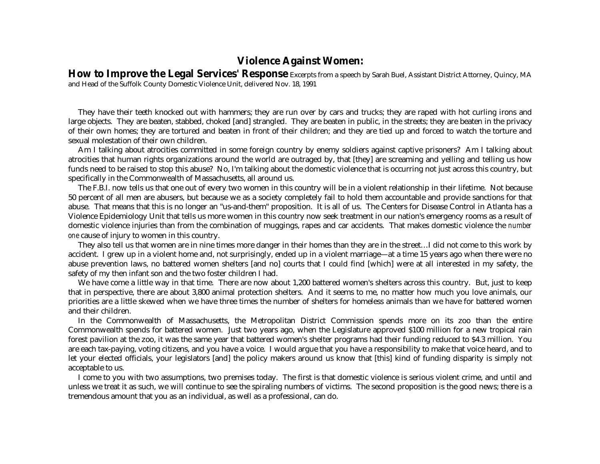### **Violence Against Women:**

#### **How to Improve the Legal Services' Response** Excerpts from a speech by Sarah Buel, Assistant District Attorney, Quincy, MA and Head of the Suffolk County Domestic Violence Unit, delivered Nov. 18, 1991

They have their teeth knocked out with hammers; they are run over by cars and trucks; they are raped with hot curling irons and large objects. They are beaten, stabbed, choked [and] strangled. They are beaten in public, in the streets; they are beaten in the privacy of their own homes; they are tortured and beaten in front of their children; and they are tied up and forced to watch the torture and sexual molestation of their own children.

Am I talking about atrocities committed in some foreign country by enemy soldiers against captive prisoners? Am I talking about atrocities that human rights organizations around the world are outraged by, that [they] are screaming and yelling and telling us how funds need to be raised to stop this abuse? No, I'm talking about the domestic violence that is occurring not just across this country, but specifically in the Commonwealth of Massachusetts, all around us.

The F.B.I. now tells us that one out of every two women in this country will be in a violent relationship in their lifetime. Not because 50 percent of all men are abusers, but because we as a society completely fail to hold them accountable and provide sanctions for that abuse. That means that this is no longer an "us-and-them" proposition. It is all of us. The Centers for Disease Control in Atlanta has a Violence Epidemiology Unit that tells us more women in this country now seek treatment in our nation's emergency rooms as a result of domestic violence injuries than from the combination of muggings, rapes and car accidents. That makes domestic violence the *number one* cause of injury to women in this country.

They also tell us that women are in nine times more danger in their homes than they are in the street…I did not come to this work by accident. I grew up in a violent home and, not surprisingly, ended up in a violent marriage—at a time 15 years ago when there were no abuse prevention laws, no battered women shelters [and no] courts that I could find [which] were at all interested in my safety, the safety of my then infant son and the two foster children I had.

We have come a little way in that time. There are now about 1,200 battered women's shelters across this country. But, just to keep that in perspective, there are about 3,800 animal protection shelters. And it seems to me, no matter how much you love animals, our priorities are a little skewed when we have three times the number of shelters for homeless animals than we have for battered women and their children.

In the Commonwealth of Massachusetts, the Metropolitan District Commission spends more on its zoo than the entire Commonwealth spends for battered women. Just two years ago, when the Legislature approved \$100 million for a new tropical rain forest pavilion at the zoo, it was the same year that battered women's shelter programs had their funding reduced to \$4.3 million. You are each tax-paying, voting citizens, and you have a voice. I would argue that you have a responsibility to make that voice heard, and to let your elected officials, your legislators [and] the policy makers around us know that [this] kind of funding disparity is simply not acceptable to us.

I come to you with two assumptions, two premises today. The first is that domestic violence is serious violent crime, and until and unless we treat it as such, we will continue to see the spiraling numbers of victims. The second proposition is the good news; there is a tremendous amount that you as an individual, as well as a professional, can do.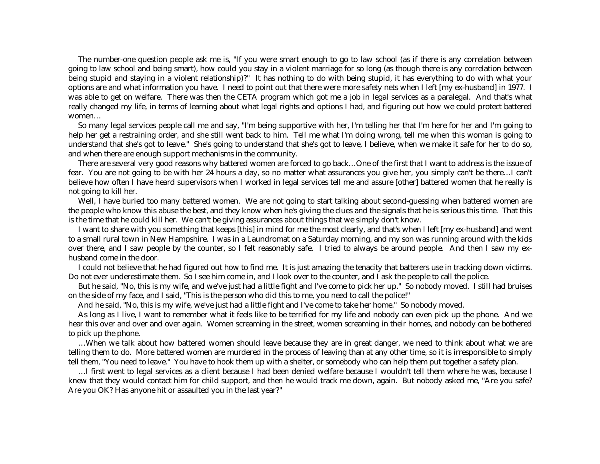The number-one question people ask me is, "If you were smart enough to go to law school (as if there is any correlation between going to law school and being smart), how could you stay in a violent marriage for so long (as though there is any correlation between being stupid and staying in a violent relationship)?" It has nothing to do with being stupid, it has everything to do with what your options are and what information you have. I need to point out that there were more safety nets when I left [my ex-husband] in 1977. I was able to get on welfare. There was then the CETA program which got me a job in legal services as a paralegal. And that's what really changed my life, in terms of learning about what legal rights and options I had, and figuring out how we could protect battered women…

So many legal services people call me and say, "I'm being supportive with her, I'm telling her that I'm here for her and I'm going to help her get a restraining order, and she still went back to him. Tell me what I'm doing wrong, tell me when this woman is going to understand that she's got to leave." She's going to understand that she's got to leave, I believe, when we make it safe for her to do so, and when there are enough support mechanisms in the community.

There are several very good reasons why battered women are forced to go back…One of the first that I want to address is the issue of fear. You are not going to be with her 24 hours a day, so no matter what assurances you give her, you simply can't be there…I can't believe how often I have heard supervisors when I worked in legal services tell me and assure [other] battered women that he really is not going to kill her.

Well, I have buried too many battered women. We are not going to start talking about second-guessing when battered women are the people who know this abuse the best, and they know when he's giving the clues and the signals that he is serious this time. That this is the time that he could kill her. We can't be giving assurances about things that we simply don't know.

I want to share with you something that keeps [this] in mind for me the most clearly, and that's when I left [my ex-husband] and went to a small rural town in New Hampshire. I was in a Laundromat on a Saturday morning, and my son was running around with the kids over there, and I saw people by the counter, so I felt reasonably safe. I tried to always be around people. And then I saw my exhusband come in the door.

I could not believe that he had figured out how to find me. It is just amazing the tenacity that batterers use in tracking down victims. Do not ever underestimate them. So I see him come in, and I look over to the counter, and I ask the people to call the police.

But he said, "No, this is my wife, and we've just had a little fight and I've come to pick her up." So nobody moved. I still had bruises on the side of my face, and I said, "This is the person who did this to me, you need to call the police!"

And he said, "No, this is my wife, we've just had a little fight and I've come to take her home." So nobody moved.

As long as I live, I want to remember what it feels like to be terrified for my life and nobody can even pick up the phone. And we hear this over and over and over again. Women screaming in the street, women screaming in their homes, and nobody can be bothered to pick up the phone.

…When we talk about how battered women should leave because they are in great danger, we need to think about what we are telling them to do. More battered women are murdered in the process of leaving than at any other time, so it is irresponsible to simply tell them, "You need to leave." You have to hook them up with a shelter, or somebody who can help them put together a safety plan.

…I first went to legal services as a client because I had been denied welfare because I wouldn't tell them where he was, because I knew that they would contact him for child support, and then he would track me down, again. But nobody asked me, "Are you safe? Are you OK? Has anyone hit or assaulted you in the last year?"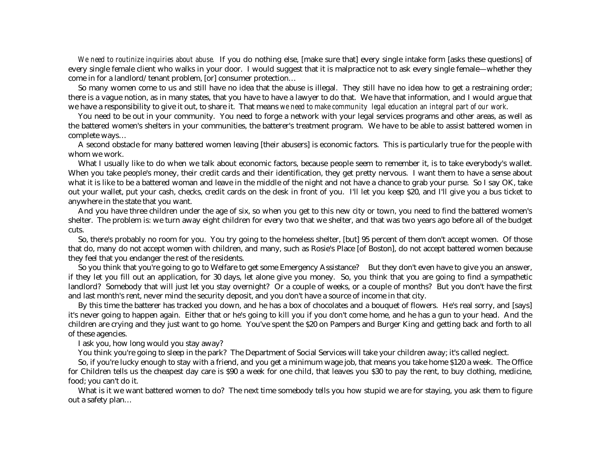*We need to routinize inquiries about abuse.* If you do nothing else, [make sure that] every single intake form [asks these questions] of every single female client who walks in your door. I would suggest that it is malpractice not to ask every single female—whether they come in for a landlord/tenant problem, [or] consumer protection…

So many women come to us and still have no idea that the abuse is illegal. They still have no idea how to get a restraining order; there is a vague notion, as in many states, that you have to have a lawyer to do that. We have that information, and I would argue that we have a responsibility to give it out, to share it. That means *we need to make community legal education an integral part of our work*.

You need to be out in your community. You need to forge a network with your legal services programs and other areas, as well as the battered women's shelters in your communities, the batterer's treatment program. We have to be able to assist battered women in complete ways…

A second obstacle for many battered women leaving [their abusers] is economic factors. This is particularly true for the people with whom we work.

What I usually like to do when we talk about economic factors, because people seem to remember it, is to take everybody's wallet. When you take people's money, their credit cards and their identification, they get pretty nervous. I want them to have a sense about what it is like to be a battered woman and leave in the middle of the night and not have a chance to grab your purse. So I say OK, take out your wallet, put your cash, checks, credit cards on the desk in front of you. I'll let you keep \$20, and I'll give you a bus ticket to anywhere in the state that you want.

And you have three children under the age of six, so when you get to this new city or town, you need to find the battered women's shelter. The problem is: we turn away eight children for every two that we shelter, and that was two years ago before all of the budget cuts.

So, there's probably no room for you. You try going to the homeless shelter, [but] 95 percent of them don't accept women. Of those that do, many do not accept women with children, and many, such as Rosie's Place [of Boston], do not accept battered women because they feel that you endanger the rest of the residents.

So you think that you're going to go to Welfare to get some Emergency Assistance? But they don't even have to give you an answer, if they let you fill out an application, for 30 days, let alone give you money. So, you think that you are going to find a sympathetic landlord? Somebody that will just let you stay overnight? Or a couple of weeks, or a couple of months? But you don't have the first and last month's rent, never mind the security deposit, and you don't have a source of income in that city.

By this time the batterer has tracked you down, and he has a box of chocolates and a bouquet of flowers. He's real sorry, and [says] it's never going to happen again. Either that or he's going to kill you if you don't come home, and he has a gun to your head. And the children are crying and they just want to go home. You've spent the \$20 on Pampers and Burger King and getting back and forth to all of these agencies.

I ask you, how long would you stay away?

You think you're going to sleep in the park? The Department of Social Services will take your children away; it's called neglect.

So, if you're lucky enough to stay with a friend, and you get a minimum wage job, that means you take home \$120 a week. The Office for Children tells us the cheapest day care is \$90 a week for one child, that leaves you \$30 to pay the rent, to buy clothing, medicine, food; you can't do it.

What is it we want battered women to do? The next time somebody tells you how stupid we are for staying, you ask them to figure out a safety plan…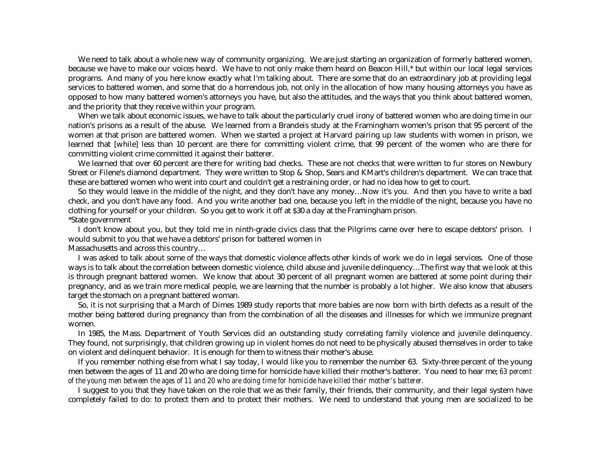We need to talk about a whole new way of community organizing. We are just starting an organization of formerly battered women, because we have to make our voices heard. We have to not only make them heard on Beacon Hill,\* but within our local legal services programs. And many of you here know exactly what I'm talking about. There are some that do an extraordinary job at providing legal services to battered women, and some that do a horrendous job, not only in the allocation of how many housing attorneys you have as opposed to how many battered women's attorneys you have, but also the attitudes, and the ways that you think about battered women, and the priority that they receive within your program.

When we talk about economic issues, we have to talk about the particularly cruel irony of battered women who are doing time in our nation's prisons as a result of the abuse. We learned from a Brandeis study at the Framingham women's prison that 95 percent of the women at that prison are battered women. When we started a project at Harvard pairing up law students with women in prison, we learned that [while] less than 10 percent are there for committing violent crime, that 99 percent of the women who are there for committing violent crime committed it against their batterer.

We learned that over 60 percent are there for writing bad checks. These are not checks that were written to fur stores on Newbury Street or Filene's diamond department. They were written to Stop & Shop, Sears and KMart's children's department. We can trace that these are battered women who went into court and couldn't get a restraining order, or had no idea how to get to court.

So they would leave in the middle of the night, and they don't have any money…Now it's you. And then you have to write a bad check, and you don't have any food. And you write another bad one, because you left in the middle of the night, because you have no clothing for yourself or your children. So you get to work it off at \$30 a day at the Framingham prison.

#### \*State government

I don't know about you, but they told me in ninth-grade civics class that the Pilgrims came over here to escape debtors' prison. I would submit to you that we have a debtors' prison for battered women in

Massachusetts and across this country…

I was asked to talk about some of the ways that domestic violence affects other kinds of work we do in legal services. One of those ways is to talk about the correlation between domestic violence, child abuse and juvenile delinquency…The first way that we look at this is through pregnant battered women. We know that about 30 percent of all pregnant women are battered at some point during their pregnancy, and as we train more medical people, we are learning that the number is probably a lot higher. We also know that abusers target the stomach on a pregnant battered woman.

So, it is not surprising that a March of Dimes 1989 study reports that more babies are now born with birth defects as a result of the mother being battered during pregnancy than from the combination of all the diseases and illnesses for which we immunize pregnant women.

In 1985, the Mass. Department of Youth Services did an outstanding study correlating family violence and juvenile delinquency. They found, not surprisingly, that children growing up in violent homes do not need to be physically abused themselves in order to take on violent and delinquent behavior. It is enough for them to witness their mother's abuse.

If you remember nothing else from what I say today, I would like you to remember the number 63. Sixty-three percent of the young men between the ages of 11 and 20 who are doing time for homicide have killed their mother's batterer. You need to hear me; *63 percent of the young men between the ages of 11 and 20 who are doing time for homicide have killed their mother's batterer.*

I suggest to you that they have taken on the role that we as their family, their friends, their community, and their legal system have completely failed to do: to protect them and to protect their mothers. We need to understand that young men are socialized to be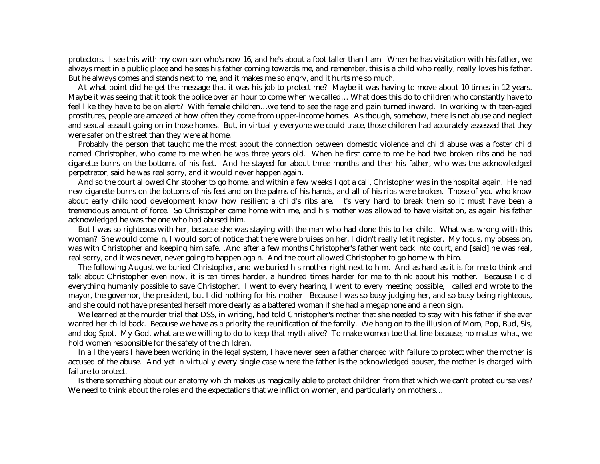protectors. I see this with my own son who's now 16, and he's about a foot taller than I am. When he has visitation with his father, we always meet in a public place and he sees his father coming towards me, and remember, this is a child who really, really loves his father. But he always comes and stands next to me, and it makes me so angry, and it hurts me so much.

At what point did he get the message that it was his job to protect me? Maybe it was having to move about 10 times in 12 years. Maybe it was seeing that it took the police over an hour to come when we called… What does this do to children who constantly have to feel like they have to be on alert? With female children…we tend to see the rage and pain turned inward. In working with teen-aged prostitutes, people are amazed at how often they come from upper-income homes. As though, somehow, there is not abuse and neglect and sexual assault going on in those homes. But, in virtually everyone we could trace, those children had accurately assessed that they were safer on the street than they were at home.

Probably the person that taught me the most about the connection between domestic violence and child abuse was a foster child named Christopher, who came to me when he was three years old. When he first came to me he had two broken ribs and he had cigarette burns on the bottoms of his feet. And he stayed for about three months and then his father, who was the acknowledged perpetrator, said he was real sorry, and it would never happen again.

And so the court allowed Christopher to go home, and within a few weeks I got a call, Christopher was in the hospital again. He had new cigarette burns on the bottoms of his feet and on the palms of his hands, and all of his ribs were broken. Those of you who know about early childhood development know how resilient a child's ribs are. It's very hard to break them so it must have been a tremendous amount of force. So Christopher came home with me, and his mother was allowed to have visitation, as again his father acknowledged he was the one who had abused him.

But I was so righteous with her, because she was staying with the man who had done this to her child. What was wrong with this woman? She would come in, I would sort of notice that there were bruises on her, I didn't really let it register. My focus, my obsession, was with Christopher and keeping him safe…And after a few months Christopher's father went back into court, and [said] he was real, real sorry, and it was never, never going to happen again. And the court allowed Christopher to go home with him.

The following August we buried Christopher, and we buried his mother right next to him. And as hard as it is for me to think and talk about Christopher even now, it is ten times harder, a hundred times harder for me to think about his mother. Because I did everything humanly possible to save Christopher. I went to every hearing, I went to every meeting possible, I called and wrote to the mayor, the governor, the president, but I did nothing for his mother. Because I was so busy judging her, and so busy being righteous, and she could not have presented herself more clearly as a battered woman if she had a megaphone and a neon sign.

We learned at the murder trial that DSS, in writing, had told Christopher's mother that she needed to stay with his father if she ever wanted her child back. Because we have as a priority the reunification of the family. We hang on to the illusion of Mom, Pop, Bud, Sis, and dog Spot. My God, what are we willing to do to keep that myth alive? To make women toe that line because, no matter what, we hold women responsible for the safety of the children.

In all the years I have been working in the legal system, I have never seen a father charged with failure to protect when the mother is accused of the abuse. And yet in virtually every single case where the father is the acknowledged abuser, the mother is charged with failure to protect.

Is there something about our anatomy which makes us magically able to protect children from that which we can't protect ourselves? We need to think about the roles and the expectations that we inflict on women, and particularly on mothers…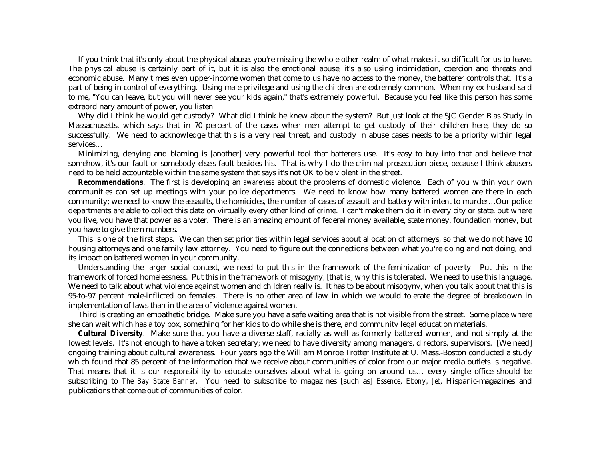If you think that it's only about the physical abuse, you're missing the whole other realm of what makes it so difficult for us to leave. The physical abuse is certainly part of it, but it is also the emotional abuse, it's also using intimidation, coercion and threats and economic abuse. Many times even upper-income women that come to us have no access to the money, the batterer controls that. It's a part of being in control of everything. Using male privilege and using the children are extremely common. When my ex-husband said to me, "You can leave, but you will never see your kids again," that's extremely powerful. Because you feel like this person has some extraordinary amount of power, you listen.

Why did I think he would get custody? What did I think he knew about the system? But just look at the SJC Gender Bias Study in Massachusetts, which says that in 70 percent of the cases when men attempt to get custody of their children here, they do so successfully. We need to acknowledge that this is a very real threat, and custody in abuse cases needs to be a priority within legal services…

Minimizing, denying and blaming is [another] very powerful tool that batterers use. It's easy to buy into that and believe that somehow, it's our fault or somebody else's fault besides his. That is why I do the criminal prosecution piece, because I think abusers need to be held accountable within the same system that says it's not OK to be violent in the street.

**Recommendations**. The first is developing an *awareness* about the problems of domestic violence. Each of you within your own communities can set up meetings with your police departments. We need to know how many battered women are there in each community; we need to know the assaults, the homicides, the number of cases of assault-and-battery with intent to murder…Our police departments are able to collect this data on virtually every other kind of crime. I can't make them do it in every city or state, but where you live, you have that power as a voter. There is an amazing amount of federal money available, state money, foundation money, but you have to give them numbers.

This is one of the first steps. We can then set priorities within legal services about allocation of attorneys, so that we do not have 10 housing attorneys and one family law attorney. You need to figure out the connections between what you're doing and not doing, and its impact on battered women in your community.

Understanding the larger social context, we need to put this in the framework of the feminization of poverty. Put this in the framework of forced homelessness. Put this in the framework of misogyny; [that is] why this is tolerated. We need to use this language. We need to talk about what violence against women and children really is. It has to be about misogyny, when you talk about that this is 95-to-97 percent male-inflicted on females. There is no other area of law in which we would tolerate the degree of breakdown in implementation of laws than in the area of violence against women.

Third is creating an empathetic bridge. Make sure you have a safe waiting area that is not visible from the street. Some place where she can wait which has a toy box, something for her kids to do while she is there, and community legal education materials.

**Cultural Diversity**. Make sure that you have a diverse staff, racially as well as formerly battered women, and not simply at the lowest levels. It's not enough to have a token secretary; we need to have diversity among managers, directors, supervisors. [We need] ongoing training about cultural awareness. Four years ago the William Monroe Trotter Institute at U. Mass.-Boston conducted a study which found that 85 percent of the information that we receive about communities of color from our major media outlets is negative. That means that it is our responsibility to educate ourselves about what is going on around us… every single office should be subscribing to *The Bay State Banner*. You need to subscribe to magazines [such as] *Essence*, *Ebony*, *Jet*, Hispanic-magazines and publications that come out of communities of color.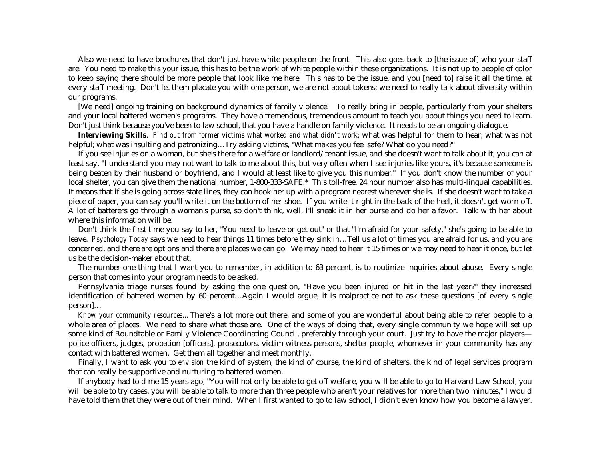Also we need to have brochures that don't just have white people on the front. This also goes back to [the issue of] who your staff are. You need to make this your issue, this has to be the work of white people within these organizations. It is not up to people of color to keep saying there should be more people that look like me here. This has to be the issue, and you [need to] raise it all the time, at every staff meeting. Don't let them placate you with one person, we are not about tokens; we need to really talk about diversity within our programs.

[We need] ongoing training on background dynamics of family violence. To really bring in people, particularly from your shelters and your local battered women's programs. They have a tremendous, tremendous amount to teach you about things you need to learn. Don't just think because you've been to law school, that you have a handle on family violence. It needs to be an ongoing dialogue.

**Interviewing Skills**. *Find out from former victims what worked and what didn't work*; what was helpful for them to hear; what was not helpful; what was insulting and patronizing...Try asking victims, "What makes you feel safe? What do you need?"

If you see injuries on a woman, but she's there for a welfare or landlord/tenant issue, and she doesn't want to talk about it, you can at least say, "I understand you may not want to talk to me about this, but very often when I see injuries like yours, it's because someone is being beaten by their husband or boyfriend, and I would at least like to give you this number." If you don't know the number of your local shelter, you can give them the national number, 1-800-333-SAFE.\* This toll-free, 24 hour number also has multi-lingual capabilities. It means that if she is going across state lines, they can hook her up with a program nearest wherever she is. If she doesn't want to take a piece of paper, you can say you'll write it on the bottom of her shoe. If you write it right in the back of the heel, it doesn't get worn off. A lot of batterers go through a woman's purse, so don't think, well, I'll sneak it in her purse and do her a favor. Talk with her about where this information will be.

Don't think the first time you say to her, "You need to leave or get out" or that "I'm afraid for your safety," she's going to be able to leave. *Psychology Today* says we need to hear things 11 times before they sink in…Tell us a lot of times you are afraid for us, and you are concerned, and there are options and there are places we can go. We may need to hear it 15 times or we may need to hear it once, but let us be the decision-maker about that.

The number-one thing that I want you to remember, in addition to 63 percent, is to routinize inquiries about abuse. Every single person that comes into your program needs to be asked.

Pennsylvania triage nurses found by asking the one question, "Have you been injured or hit in the last year?" they increased identification of battered women by 60 percent…Again I would argue, it is malpractice not to ask these questions [of every single person]…

*Know your community resources…*There's a lot more out there, and some of you are wonderful about being able to refer people to a whole area of places. We need to share what those are. One of the ways of doing that, every single community we hope will set up some kind of Roundtable or Family Violence Coordinating Council, preferably through your court. Just try to have the major players police officers, judges, probation [officers], prosecutors, victim-witness persons, shelter people, whomever in your community has any contact with battered women. Get them all together and meet monthly.

Finally, I want to ask you to *envision* the kind of system, the kind of course, the kind of shelters, the kind of legal services program that can really be supportive and nurturing to battered women.

If anybody had told me 15 years ago, "You will not only be able to get off welfare, you will be able to go to Harvard Law School, you will be able to try cases, you will be able to talk to more than three people who aren't your relatives for more than two minutes," I would have told them that they were out of their mind. When I first wanted to go to law school, I didn't even know how you become a lawyer.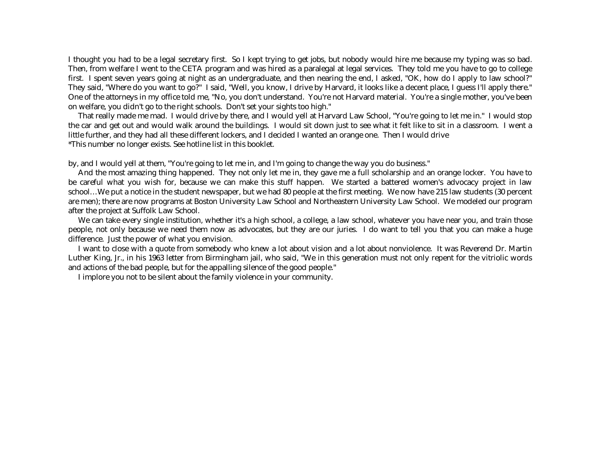I thought you had to be a legal secretary first. So I kept trying to get jobs, but nobody would hire me because my typing was so bad. Then, from welfare I went to the CETA program and was hired as a paralegal at legal services. They told me you have to go to college first. I spent seven years going at night as an undergraduate, and then nearing the end, I asked, "OK, how do I apply to law school?" They said, "Where do you want to go?" I said, "Well, you know, I drive by Harvard, it looks like a decent place, I guess I'll apply there." One of the attorneys in my office told me, "No, you don't understand. You're not Harvard material. You're a single mother, you've been on welfare, you didn't go to the right schools. Don't set your sights too high."

That really made me mad. I would drive by there, and I would yell at Harvard Law School, "You're going to let me in." I would stop the car and get out and would walk around the buildings. I would sit down just to see what it felt like to sit in a classroom. I went a little further, and they had all these different lockers, and I decided I wanted an orange one. Then I would drive \*This number no longer exists. See hotline list in this booklet.

by, and I would yell at them, "You're going to let me in, and I'm going to change the way you do business."

And the most amazing thing happened. They not only let me in, they gave me a full scholarship *and* an orange locker. You have to be careful what you wish for, because we can make this stuff happen. We started a battered women's advocacy project in law school…We put a notice in the student newspaper, but we had 80 people at the first meeting. We now have 215 law students (30 percent are men); there are now programs at Boston University Law School and Northeastern University Law School. We modeled our program after the project at Suffolk Law School.

We can take every single institution, whether it's a high school, a college, a law school, whatever you have near you, and train those people, not only because we need them now as advocates, but they are our juries. I do want to tell you that you can make a huge difference. Just the power of what you envision.

I want to close with a quote from somebody who knew a lot about vision and a lot about nonviolence. It was Reverend Dr. Martin Luther King, Jr., in his 1963 letter from Birmingham jail, who said, "We in this generation must not only repent for the vitriolic words and actions of the bad people, but for the appalling silence of the good people."

I implore you not to be silent about the family violence in your community.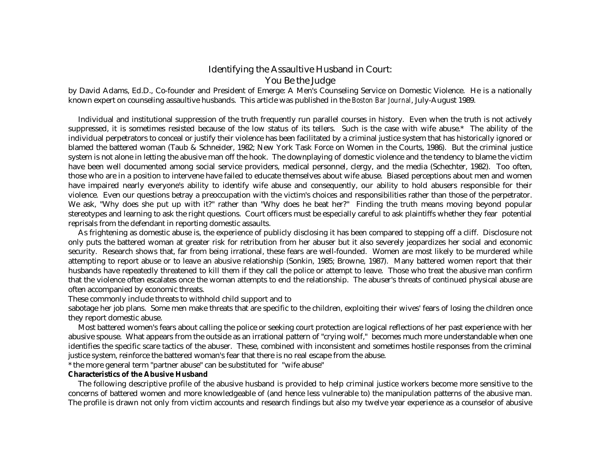### Identifying the Assaultive Husband in Court: You Be the Judge

by David Adams, Ed.D., Co-founder and President of Emerge: A Men's Counseling Service on Domestic Violence. He is a nationally known expert on counseling assaultive husbands. This article was published in the *Boston Bar Journal*, July-August 1989.

Individual and institutional suppression of the truth frequently run parallel courses in history. Even when the truth is not actively suppressed, it is sometimes resisted because of the low status of its tellers. Such is the case with wife abuse.\* The ability of the individual perpetrators to conceal or justify their violence has been facilitated by a criminal justice system that has historically ignored or blamed the battered woman (Taub & Schneider, 1982; New York Task Force on Women in the Courts, 1986). But the criminal justice system is not alone in letting the abusive man off the hook. The downplaying of domestic violence and the tendency to blame the victim have been well documented among social service providers, medical personnel, clergy, and the media (Schechter, 1982). Too often, those who are in a position to intervene have failed to educate themselves about wife abuse. Biased perceptions about men and women have impaired nearly everyone's ability to identify wife abuse and consequently, our ability to hold abusers responsible for their violence. Even our questions betray a preoccupation with the victim's choices and responsibilities rather than those of the perpetrator. We ask, "Why does she put up with it?" rather than "Why does he beat her?" Finding the truth means moving beyond popular stereotypes and learning to ask the right questions. Court officers must be especially careful to ask plaintiffs whether they fear potential reprisals from the defendant in reporting domestic assaults.

As frightening as domestic abuse is, the experience of publicly disclosing it has been compared to stepping off a cliff. Disclosure not only puts the battered woman at greater risk for retribution from her abuser but it also severely jeopardizes her social and economic security. Research shows that, far from being irrational, these fears are well-founded. Women are most likely to be murdered while attempting to report abuse or to leave an abusive relationship (Sonkin, 1985; Browne, 1987). Many battered women report that their husbands have repeatedly threatened to kill them if they call the police or attempt to leave. Those who treat the abusive man confirm that the violence often escalates once the woman attempts to end the relationship. The abuser's threats of continued physical abuse are often accompanied by economic threats.

These commonly include threats to withhold child support and to

sabotage her job plans. Some men make threats that are specific to the children, exploiting their wives' fears of losing the children once they report domestic abuse.

Most battered women's fears about calling the police or seeking court protection are logical reflections of her past experience with her abusive spouse. What appears from the outside as an irrational pattern of "crying wolf," becomes much more understandable when one identifies the specific scare tactics of the abuser. These, combined with inconsistent and sometimes hostile responses from the criminal justice system, reinforce the battered woman's fear that there is no real escape from the abuse.

\* the more general term "partner abuse" can be substituted for "wife abuse"

#### **Characteristics of the Abusive Husband**

The following descriptive profile of the abusive husband is provided to help criminal justice workers become more sensitive to the concerns of battered women and more knowledgeable of (and hence less vulnerable to) the manipulation patterns of the abusive man. The profile is drawn not only from victim accounts and research findings but also my twelve year experience as a counselor of abusive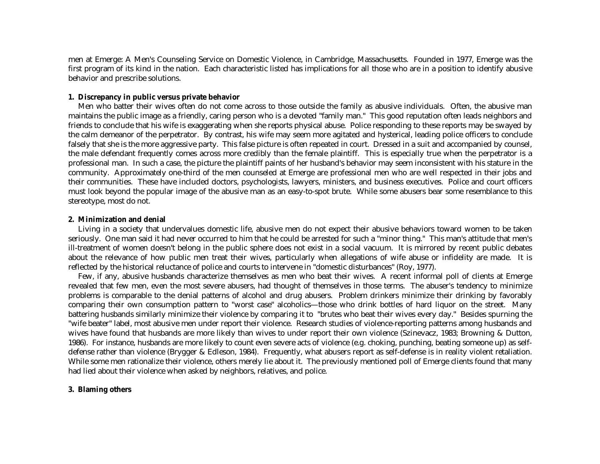men at Emerge: A Men's Counseling Service on Domestic Violence, in Cambridge, Massachusetts. Founded in 1977, Emerge was the first program of its kind in the nation. Each characteristic listed has implications for all those who are in a position to identify abusive behavior and prescribe solutions.

#### **1. Discrepancy in public versus private behavior**

Men who batter their wives often do not come across to those outside the family as abusive individuals. Often, the abusive man maintains the public image as a friendly, caring person who is a devoted "family man." This good reputation often leads neighbors and friends to conclude that his wife is exaggerating when she reports physical abuse. Police responding to these reports may be swayed by the calm demeanor of the perpetrator. By contrast, his wife may seem more agitated and hysterical, leading police officers to conclude falsely that she is the more aggressive party. This false picture is often repeated in court. Dressed in a suit and accompanied by counsel, the male defendant frequently comes across more credibly than the female plaintiff. This is especially true when the perpetrator is a professional man. In such a case, the picture the plaintiff paints of her husband's behavior may seem inconsistent with his stature in the community. Approximately one-third of the men counseled at Emerge are professional men who are well respected in their jobs and their communities. These have included doctors, psychologists, lawyers, ministers, and business executives. Police and court officers must look beyond the popular image of the abusive man as an easy-to-spot brute. While some abusers bear some resemblance to this stereotype, most do not.

#### **2. Minimization and denial**

Living in a society that undervalues domestic life, abusive men do not expect their abusive behaviors toward women to be taken seriously. One man said it had never occurred to him that he could be arrested for such a "minor thing." This man's attitude that men's ill-treatment of women doesn't belong in the public sphere does not exist in a social vacuum. It is mirrored by recent public debates about the relevance of how public men treat their wives, particularly when allegations of wife abuse or infidelity are made. It is reflected by the historical reluctance of police and courts to intervene in "domestic disturbances" (Roy, 1977).

Few, if any, abusive husbands characterize themselves as men who beat their wives. A recent informal poll of clients at Emerge revealed that few men, even the most severe abusers, had thought of themselves in those terms. The abuser's tendency to minimize problems is comparable to the denial patterns of alcohol and drug abusers. Problem drinkers minimize their drinking by favorably comparing their own consumption pattern to "worst case" alcoholics—those who drink bottles of hard liquor on the street. Many battering husbands similarly minimize their violence by comparing it to "brutes who beat their wives every day." Besides spurning the "wife beater" label, most abusive men under report their violence. Research studies of violence-reporting patterns among husbands and wives have found that husbands are more likely than wives to under report their own violence (Szinevacz, 1983; Browning & Dutton, 1986). For instance, husbands are more likely to count even severe acts of violence (e.g. choking, punching, beating someone up) as selfdefense rather than violence (Brygger & Edleson, 1984). Frequently, what abusers report as self-defense is in reality violent retaliation. While some men rationalize their violence, others merely lie about it. The previously mentioned poll of Emerge clients found that many had lied about their violence when asked by neighbors, relatives, and police.

#### **3. Blaming others**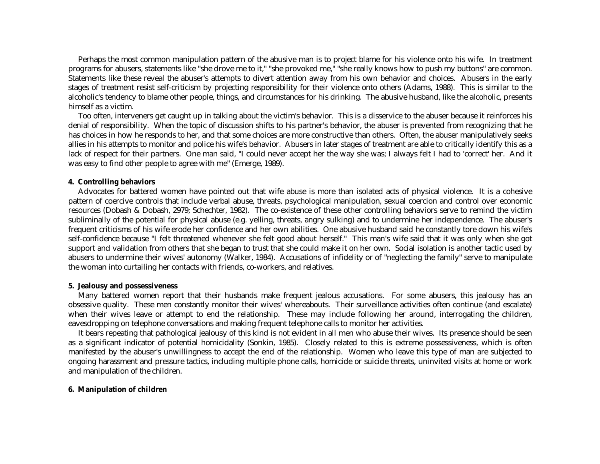Perhaps the most common manipulation pattern of the abusive man is to project blame for his violence onto his wife. In treatment programs for abusers, statements like "she drove me to it," "she provoked me," "she really knows how to push my buttons" are common. Statements like these reveal the abuser's attempts to divert attention away from his own behavior and choices. Abusers in the early stages of treatment resist self-criticism by projecting responsibility for their violence onto others (Adams, 1988). This is similar to the alcoholic's tendency to blame other people, things, and circumstances for his drinking. The abusive husband, like the alcoholic, presents himself as a victim.

Too often, interveners get caught up in talking about the victim's behavior. This is a disservice to the abuser because it reinforces his denial of responsibility. When the topic of discussion shifts to his partner's behavior, the abuser is prevented from recognizing that he has choices in how he responds to her, and that some choices are more constructive than others. Often, the abuser manipulatively seeks allies in his attempts to monitor and police his wife's behavior. Abusers in later stages of treatment are able to critically identify this as a lack of respect for their partners. One man said, "I could never accept her the way she was; I always felt I had to 'correct' her. And it was easy to find other people to agree with me" (Emerge, 1989).

#### **4. Controlling behaviors**

Advocates for battered women have pointed out that wife abuse is more than isolated acts of physical violence. It is a cohesive pattern of coercive controls that include verbal abuse, threats, psychological manipulation, sexual coercion and control over economic resources (Dobash & Dobash, 2979; Schechter, 1982). The co-existence of these other controlling behaviors serve to remind the victim subliminally of the potential for physical abuse (e.g. yelling, threats, angry sulking) and to undermine her independence. The abuser's frequent criticisms of his wife erode her confidence and her own abilities. One abusive husband said he constantly tore down his wife's self-confidence because "I felt threatened whenever she felt good about herself." This man's wife said that it was only when she got support and validation from others that she began to trust that she could make it on her own. Social isolation is another tactic used by abusers to undermine their wives' autonomy (Walker, 1984). Accusations of infidelity or of "neglecting the family" serve to manipulate the woman into curtailing her contacts with friends, co-workers, and relatives.

#### **5. Jealousy and possessiveness**

Many battered women report that their husbands make frequent jealous accusations. For some abusers, this jealousy has an obsessive quality. These men constantly monitor their wives' whereabouts. Their surveillance activities often continue (and escalate) when their wives leave or attempt to end the relationship. These may include following her around, interrogating the children, eavesdropping on telephone conversations and making frequent telephone calls to monitor her activities.

It bears repeating that pathological jealousy of this kind is not evident in all men who abuse their wives. Its presence should be seen as a significant indicator of potential homicidality (Sonkin, 1985). Closely related to this is extreme possessiveness, which is often manifested by the abuser's unwillingness to accept the end of the relationship. Women who leave this type of man are subjected to ongoing harassment and pressure tactics, including multiple phone calls, homicide or suicide threats, uninvited visits at home or work and manipulation of the children.

#### **6. Manipulation of children**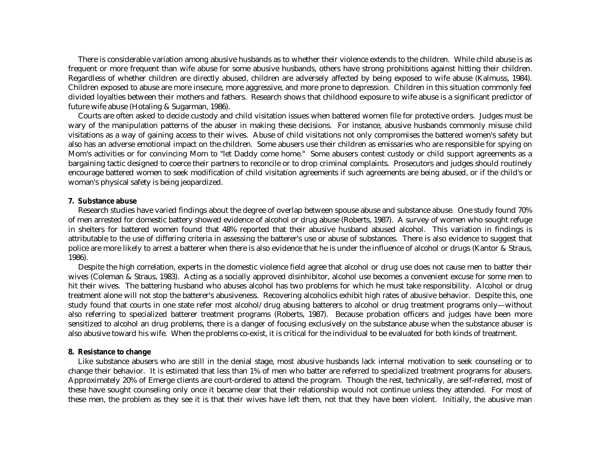There is considerable variation among abusive husbands as to whether their violence extends to the children. While child abuse is as frequent or more frequent than wife abuse for some abusive husbands, others have strong prohibitions against hitting their children. Regardless of whether children are directly abused, children are adversely affected by being exposed to wife abuse (Kalmuss, 1984). Children exposed to abuse are more insecure, more aggressive, and more prone to depression. Children in this situation commonly feel divided loyalties between their mothers and fathers. Research shows that childhood exposure to wife abuse is a significant predictor of future wife abuse (Hotaling & Sugarman, 1986).

Courts are often asked to decide custody and child visitation issues when battered women file for protective orders. Judges must be wary of the manipulation patterns of the abuser in making these decisions. For instance, abusive husbands commonly misuse child visitations as a way of gaining access to their wives. Abuse of child visitations not only compromises the battered women's safety but also has an adverse emotional impact on the children. Some abusers use their children as emissaries who are responsible for spying on Mom's activities or for convincing Mom to "let Daddy come home." Some abusers contest custody or child support agreements as a bargaining tactic designed to coerce their partners to reconcile or to drop criminal complaints. Prosecutors and judges should routinely encourage battered women to seek modification of child visitation agreements if such agreements are being abused, or if the child's or woman's physical safety is being jeopardized.

#### **7. Substance abuse**

Research studies have varied findings about the degree of overlap between spouse abuse and substance abuse. One study found 70% of men arrested for domestic battery showed evidence of alcohol or drug abuse (Roberts, 1987). A survey of women who sought refuge in shelters for battered women found that 48% reported that their abusive husband abused alcohol. This variation in findings is attributable to the use of differing criteria in assessing the batterer's use or abuse of substances. There is also evidence to suggest that police are more likely to arrest a batterer when there is also evidence that he is under the influence of alcohol or drugs (Kantor & Straus, 1986).

Despite the high correlation, experts in the domestic violence field agree that alcohol or drug use does not cause men to batter their wives (Coleman & Straus, 1983). Acting as a socially approved disinhibitor, alcohol use becomes a convenient excuse for some men to hit their wives. The battering husband who abuses alcohol has two problems for which he must take responsibility. Alcohol or drug treatment alone will not stop the batterer's abusiveness. Recovering alcoholics exhibit high rates of abusive behavior. Despite this, one study found that courts in one state refer most alcohol/drug abusing batterers to alcohol or drug treatment programs only—without also referring to specialized batterer treatment programs (Roberts, 1987). Because probation officers and judges have been more sensitized to alcohol an drug problems, there is a danger of focusing exclusively on the substance abuse when the substance abuser is also abusive toward his wife. When the problems co-exist, it is critical for the individual to be evaluated for both kinds of treatment.

#### **8. Resistance to change**

Like substance abusers who are still in the denial stage, most abusive husbands lack internal motivation to seek counseling or to change their behavior. It is estimated that less than 1% of men who batter are referred to specialized treatment programs for abusers. Approximately 20% of Emerge clients are court-ordered to attend the program. Though the rest, technically, are self-referred, most of these have sought counseling only once it became clear that their relationship would not continue unless they attended. For most of these men, the problem as they see it is that their wives have left them, not that they have been violent. Initially, the abusive man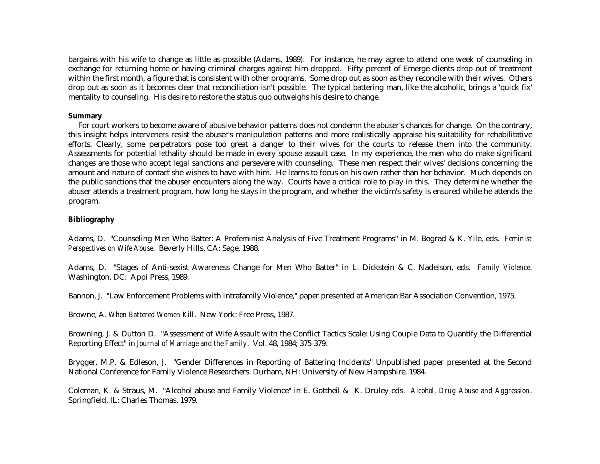bargains with his wife to change as little as possible (Adams, 1989). For instance, he may agree to attend one week of counseling in exchange for returning home or having criminal charges against him dropped. Fifty percent of Emerge clients drop out of treatment within the first month, a figure that is consistent with other programs. Some drop out as soon as they reconcile with their wives. Others drop out as soon as it becomes clear that reconciliation isn't possible. The typical battering man, like the alcoholic, brings a 'quick fix' mentality to counseling. His desire to restore the status quo outweighs his desire to change.

#### **Summary**

For court workers to become aware of abusive behavior patterns does not condemn the abuser's chances for change. On the contrary, this insight helps interveners resist the abuser's manipulation patterns and more realistically appraise his suitability for rehabilitative efforts. Clearly, some perpetrators pose too great a danger to their wives for the courts to release them into the community. Assessments for potential lethality should be made in every spouse assault case. In my experience, the men who do make significant changes are those who accept legal sanctions and persevere with counseling. These men respect their wives' decisions concerning the amount and nature of contact she wishes to have with him. He learns to focus on his own rather than her behavior. Much depends on the public sanctions that the abuser encounters along the way. Courts have a critical role to play in this. They determine whether the abuser attends a treatment program, how long he stays in the program, and whether the victim's safety is ensured while he attends the program.

#### **Bibliography**

Adams, D. "Counseling Men Who Batter: A Profeminist Analysis of Five Treatment Programs" in M. Bograd & K. Yile, eds. *Feminist Perspectives on Wife Abuse*. Beverly Hills, CA: Sage, 1988.

Adams, D. "Stages of Anti-sexist Awareness Change for Men Who Batter" in L. Dickstein & C. Nadelson, eds. *Family Violence*. Washington, DC: Appi Press, 1989.

Bannon, J. "Law Enforcement Problems with Intrafamily Violence," paper presented at American Bar Association Convention, 1975.

Browne, A. *When Battered Women Kill*. New York: Free Press, 1987.

Browning, J. & Dutton D. "Assessment of Wife Assault with the Conflict Tactics Scale: Using Couple Data to Quantify the Differential Reporting Effect" in *Journal of Marriage and the Family*. Vol. 48, 1984; 375-379.

Brygger, M.P. & Edleson, J. "Gender Differences in Reporting of Battering Incidents" Unpublished paper presented at the Second National Conference for Family Violence Researchers. Durham, NH: University of New Hampshire, 1984.

Coleman, K. & Straus, M. "Alcohol abuse and Family Violence" in E. Gottheil & K. Druley eds. *Alcohol, Drug Abuse and Aggression*. Springfield, IL: Charles Thomas, 1979.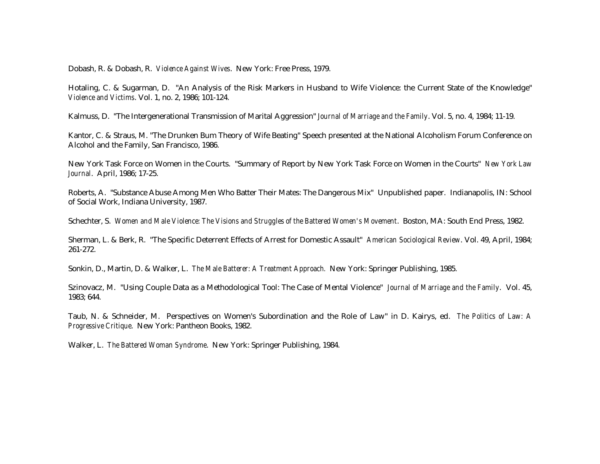Dobash, R. & Dobash, R. *Violence Against Wives*. New York: Free Press, 1979.

Hotaling, C. & Sugarman, D. "An Analysis of the Risk Markers in Husband to Wife Violence: the Current State of the Knowledge" *Violence and Victims*. Vol. 1, no. 2, 1986; 101-124.

Kalmuss, D. "The Intergenerational Transmission of Marital Aggression" *Journal of Marriage and the Family*. Vol. 5, no. 4, 1984; 11-19.

Kantor, C. & Straus, M. "The Drunken Bum Theory of Wife Beating" Speech presented at the National Alcoholism Forum Conference on Alcohol and the Family, San Francisco, 1986.

New York Task Force on Women in the Courts. "Summary of Report by New York Task Force on Women in the Courts" *New York Law Journal*. April, 1986; 17-25.

Roberts, A. "Substance Abuse Among Men Who Batter Their Mates: The Dangerous Mix" Unpublished paper. Indianapolis, IN: School of Social Work, Indiana University, 1987.

Schechter, S. *Women and Male Violence: The Visions and Struggles of the Battered Women's Movement*. Boston, MA: South End Press, 1982.

Sherman, L. & Berk, R. "The Specific Deterrent Effects of Arrest for Domestic Assault" *American Sociological Review*. Vol. 49, April, 1984; 261-272.

Sonkin, D., Martin, D. & Walker, L. *The Male Batterer: A Treatment Approach.* New York: Springer Publishing, 1985.

Szinovacz, M. "Using Couple Data as a Methodological Tool: The Case of Mental Violence" *Journal of Marriage and the Family*. Vol. 45, 1983; 644.

Taub, N. & Schneider, M. Perspectives on Women's Subordination and the Role of Law" in D. Kairys, ed. *The Politics of Law: A Progressive Critique*. New York: Pantheon Books, 1982.

Walker, L. *The Battered Woman Syndrome*. New York: Springer Publishing, 1984.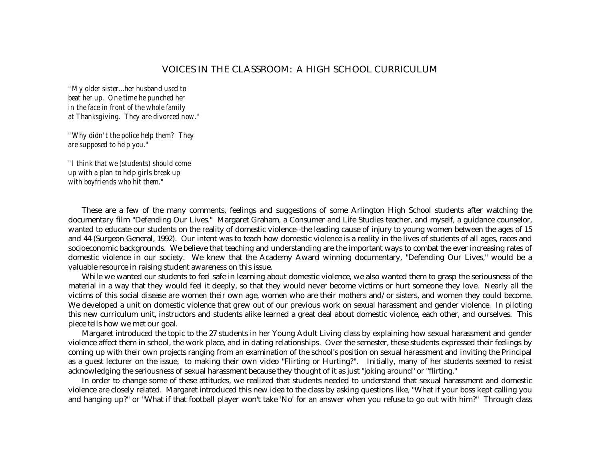### VOICES IN THE CLASSROOM: A HIGH SCHOOL CURRICULUM

*"My older sister...her husband used to beat her up. One time he punched her in the face in front of the whole family at Thanksgiving. They are divorced now."*

*"Why didn't the police help them? They are supposed to help you."*

*"I think that we (students) should come up with a plan to help girls break up with boyfriends who hit them."*

These are a few of the many comments, feelings and suggestions of some Arlington High School students after watching the documentary film "Defending Our Lives." Margaret Graham, a Consumer and Life Studies teacher, and myself, a guidance counselor, wanted to educate our students on the reality of domestic violence--the leading cause of injury to young women between the ages of 15 and 44 (Surgeon General, 1992). Our intent was to teach how domestic violence is a reality in the lives of students of all ages, races and socioeconomic backgrounds. We believe that teaching and understanding are the important ways to combat the ever increasing rates of domestic violence in our society. We knew that the Academy Award winning documentary, "Defending Our Lives," would be a valuable resource in raising student awareness on this issue.

While we wanted our students to feel safe in learning about domestic violence, we also wanted them to grasp the seriousness of the material in a way that they would feel it deeply, so that they would never become victims or hurt someone they love. Nearly all the victims of this social disease are women their own age, women who are their mothers and/or sisters, and women they could become. We developed a unit on domestic violence that grew out of our previous work on sexual harassment and gender violence. In piloting this new curriculum unit, instructors and students alike learned a great deal about domestic violence, each other, and ourselves. This piece tells how we met our goal.

Margaret introduced the topic to the 27 students in her Young Adult Living class by explaining how sexual harassment and gender violence affect them in school, the work place, and in dating relationships. Over the semester, these students expressed their feelings by coming up with their own projects ranging from an examination of the school's position on sexual harassment and inviting the Principal as a guest lecturer on the issue, to making their own video "Flirting or Hurting?". Initially, many of her students seemed to resist acknowledging the seriousness of sexual harassment because they thought of it as just "joking around" or "flirting."

In order to change some of these attitudes, we realized that students needed to understand that sexual harassment and domestic violence are closely related. Margaret introduced this new idea to the class by asking questions like, "What if your boss kept calling you and hanging up?" or "What if that football player won't take 'No' for an answer when you refuse to go out with him?" Through class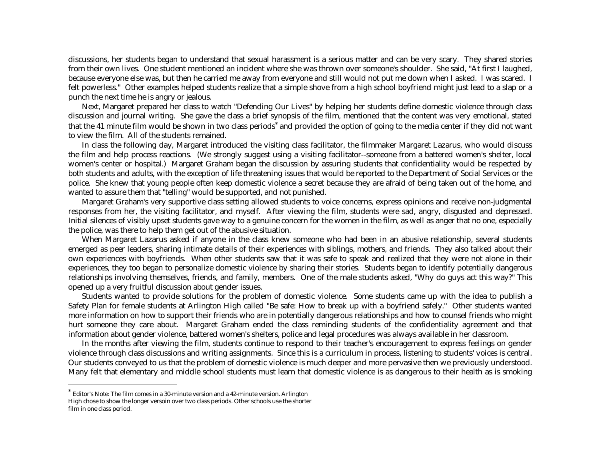discussions, her students began to understand that sexual harassment is a serious matter and can be very scary. They shared stories from their own lives. One student mentioned an incident where she was thrown over someone's shoulder. She said, "At first I laughed, because everyone else was, but then he carried me away from everyone and still would not put me down when I asked. I was scared. I felt powerless." Other examples helped students realize that a simple shove from a high school boyfriend might just lead to a slap or a punch the next time he is angry or jealous.

Next, Margaret prepared her class to watch "Defending Our Lives" by helping her students define domestic violence through class discussion and journal writing. She gave the class a brief synopsis of the film, mentioned that the content was very emotional, stated that the 41 minute film would be shown in two class periods $^*$  and provided the option of going to the media center if they did not want to view the film. All of the students remained.

In class the following day, Margaret introduced the visiting class facilitator, the filmmaker Margaret Lazarus, who would discuss the film and help process reactions. (We strongly suggest using a visiting facilitator--someone from a battered women's shelter, local women's center or hospital.) Margaret Graham began the discussion by assuring students that confidentiality would be respected by both students and adults, with the exception of life threatening issues that would be reported to the Department of Social Services or the police. She knew that young people often keep domestic violence a secret because they are afraid of being taken out of the home, and wanted to assure them that "telling" would be supported, and not punished.

Margaret Graham's very supportive class setting allowed students to voice concerns, express opinions and receive non-judgmental responses from her, the visiting facilitator, and myself. After viewing the film, students were sad, angry, disgusted and depressed. Initial silences of visibly upset students gave way to a genuine concern for the women in the film, as well as anger that no one, especially the police, was there to help them get out of the abusive situation.

When Margaret Lazarus asked if anyone in the class knew someone who had been in an abusive relationship, several students emerged as peer leaders, sharing intimate details of their experiences with siblings, mothers, and friends. They also talked about their own experiences with boyfriends. When other students saw that it was safe to speak and realized that they were not alone in their experiences, they too began to personalize domestic violence by sharing their stories. Students began to identify potentially dangerous relationships involving themselves, friends, and family, members. One of the male students asked, "Why do guys act this way?" This opened up a very fruitful discussion about gender issues.

Students wanted to provide solutions for the problem of domestic violence. Some students came up with the idea to publish a Safety Plan for female students at Arlington High called "Be safe: How to break up with a boyfriend safely." Other students wanted more information on how to support their friends who are in potentially dangerous relationships and how to counsel friends who might hurt someone they care about. Margaret Graham ended the class reminding students of the confidentiality agreement and that information about gender violence, battered women's shelters, police and legal procedures was always available in her classroom.

In the months after viewing the film, students continue to respond to their teacher's encouragement to express feelings on gender violence through class discussions and writing assignments. Since this is a curriculum in process, listening to students' voices is central. Our students conveyed to us that the problem of domestic violence is much deeper and more pervasive then we previously understood. Many felt that elementary and middle school students must learn that domestic violence is as dangerous to their health as is smoking

-

<sup>\*</sup> Editor's Note: The film comes in a 30-minute version and a 42-minute version. Arlington High chose to show the longer versoin over two class periods. Other schools use the shorter film in one class period.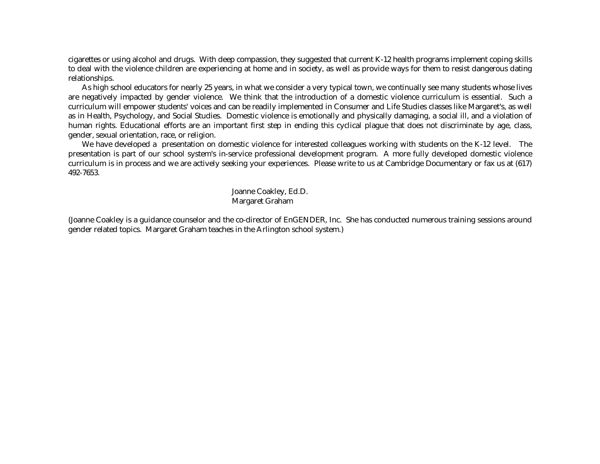cigarettes or using alcohol and drugs. With deep compassion, they suggested that current K-12 health programs implement coping skills to deal with the violence children are experiencing at home and in society, as well as provide ways for them to resist dangerous dating relationships.

As high school educators for nearly 25 years, in what we consider a very typical town, we continually see many students whose lives are negatively impacted by gender violence. We think that the introduction of a domestic violence curriculum is essential. Such a curriculum will empower students' voices and can be readily implemented in Consumer and Life Studies classes like Margaret's, as well as in Health, Psychology, and Social Studies. Domestic violence is emotionally and physically damaging, a social ill, and a violation of human rights. Educational efforts are an important first step in ending this cyclical plague that does not discriminate by age, class, gender, sexual orientation, race, or religion.

We have developed a presentation on domestic violence for interested colleagues working with students on the K-12 level. The presentation is part of our school system's in-service professional development program. A more fully developed domestic violence curriculum is in process and we are actively seeking your experiences. Please write to us at Cambridge Documentary or fax us at (617) 492-7653.

> Joanne Coakley, Ed.D. Margaret Graham

(Joanne Coakley is a guidance counselor and the co-director of EnGENDER, Inc. She has conducted numerous training sessions around gender related topics. Margaret Graham teaches in the Arlington school system.)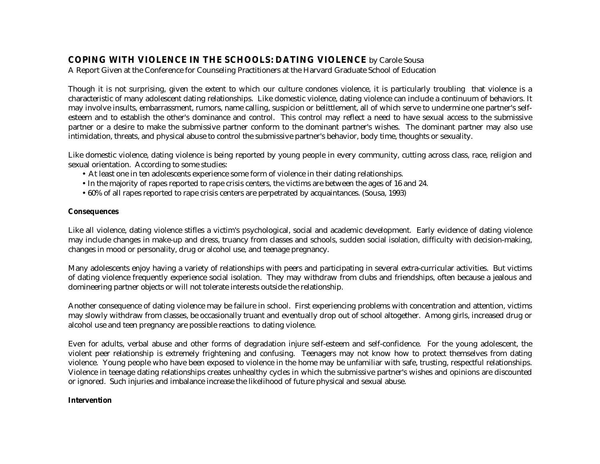### **COPING WITH VIOLENCE IN THE SCHOOLS: DATING VIOLENCE** by Carole Sousa

A Report Given at the Conference for Counseling Practitioners at the Harvard Graduate School of Education

Though it is not surprising, given the extent to which our culture condones violence, it is particularly troubling that violence is a characteristic of many adolescent dating relationships. Like domestic violence, dating violence can include a continuum of behaviors. It may involve insults, embarrassment, rumors, name calling, suspicion or belittlement, all of which serve to undermine one partner's selfesteem and to establish the other's dominance and control. This control may reflect a need to have sexual access to the submissive partner or a desire to make the submissive partner conform to the dominant partner's wishes. The dominant partner may also use intimidation, threats, and physical abuse to control the submissive partner's behavior, body time, thoughts or sexuality.

Like domestic violence, dating violence is being reported by young people in every community, cutting across class, race, religion and sexual orientation. According to some studies:

- At least one in ten adolescents experience some form of violence in their dating relationships.
- In the majority of rapes reported to rape crisis centers, the victims are between the ages of 16 and 24.
- 60% of all rapes reported to rape crisis centers are perpetrated by acquaintances. (Sousa, 1993)

#### **Consequences**

Like all violence, dating violence stifles a victim's psychological, social and academic development. Early evidence of dating violence may include changes in make-up and dress, truancy from classes and schools, sudden social isolation, difficulty with decision-making, changes in mood or personality, drug or alcohol use, and teenage pregnancy.

Many adolescents enjoy having a variety of relationships with peers and participating in several extra-curricular activities. But victims of dating violence frequently experience social isolation. They may withdraw from clubs and friendships, often because a jealous and domineering partner objects or will not tolerate interests outside the relationship.

Another consequence of dating violence may be failure in school. First experiencing problems with concentration and attention, victims may slowly withdraw from classes, be occasionally truant and eventually drop out of school altogether. Among girls, increased drug or alcohol use and teen pregnancy are possible reactions to dating violence.

Even for adults, verbal abuse and other forms of degradation injure self-esteem and self-confidence. For the young adolescent, the violent peer relationship is extremely frightening and confusing. Teenagers may not know how to protect themselves from dating violence. Young people who have been exposed to violence in the home may be unfamiliar with safe, trusting, respectful relationships. Violence in teenage dating relationships creates unhealthy cycles in which the submissive partner's wishes and opinions are discounted or ignored. Such injuries and imbalance increase the likelihood of future physical and sexual abuse.

#### **Intervention**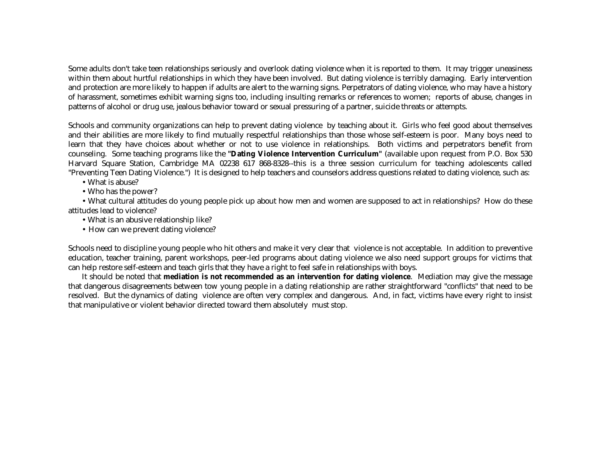Some adults don't take teen relationships seriously and overlook dating violence when it is reported to them. It may trigger uneasiness within them about hurtful relationships in which they have been involved. But dating violence is terribly damaging. Early intervention and protection are more likely to happen if adults are alert to the warning signs. Perpetrators of dating violence, who may have a history of harassment, sometimes exhibit warning signs too, including insulting remarks or references to women; reports of abuse, changes in patterns of alcohol or drug use, jealous behavior toward or sexual pressuring of a partner, suicide threats or attempts.

Schools and community organizations can help to prevent dating violence by teaching about it. Girls who feel good about themselves and their abilities are more likely to find mutually respectful relationships than those whose self-esteem is poor. Many boys need to learn that they have choices about whether or not to use violence in relationships. Both victims and perpetrators benefit from counseling. Some teaching programs like the **"Dating Violence Intervention Curriculum"** (available upon request from P.O. Box 530 Harvard Square Station, Cambridge MA 02238 617 868-8328--this is a three session curriculum for teaching adolescents called "Preventing Teen Dating Violence.") It is designed to help teachers and counselors address questions related to dating violence, such as:

- What is abuse?
- Who has the power?

• What cultural attitudes do young people pick up about how men and women are supposed to act in relationships? How do these attitudes lead to violence?

- What is an abusive relationship like?
- How can we prevent dating violence?

Schools need to discipline young people who hit others and make it very clear that violence is not acceptable. In addition to preventive education, teacher training, parent workshops, peer-led programs about dating violence we also need support groups for victims that can help restore self-esteem and teach girls that they have a right to feel safe in relationships with boys.

It should be noted that **mediation is not recommended as an intervention for dating violence**. Mediation may give the message that dangerous disagreements between tow young people in a dating relationship are rather straightforward "conflicts" that need to be resolved. But the dynamics of dating violence are often very complex and dangerous. And, in fact, victims have every right to insist that manipulative or violent behavior directed toward them absolutely must stop.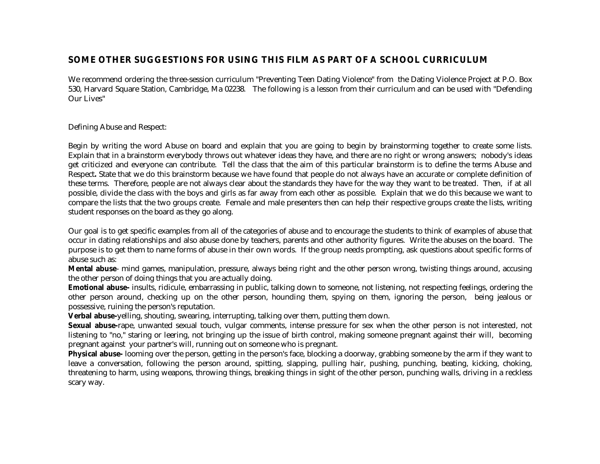### **SOME OTHER SUGGESTIONS FOR USING THIS FILM AS PART OF A SCHOOL CURRICULUM**

We recommend ordering the three-session curriculum "Preventing Teen Dating Violence" from the Dating Violence Project at P.O. Box 530, Harvard Square Station, Cambridge, Ma 02238. The following is a lesson from their curriculum and can be used with "Defending Our Lives"

Defining Abuse and Respect:

Begin by writing the word Abuse on board and explain that you are going to begin by brainstorming together to create some lists. Explain that in a brainstorm everybody throws out whatever ideas they have, and there are no right or wrong answers; nobody's ideas get criticized and everyone can contribute. Tell the class that the aim of this particular brainstorm is to define the terms Abuse and Respect**.** State that we do this brainstorm because we have found that people do not always have an accurate or complete definition of these terms. Therefore, people are not always clear about the standards they have for the way they want to be treated. Then, if at all possible, divide the class with the boys and girls as far away from each other as possible. Explain that we do this because we want to compare the lists that the two groups create. Female and male presenters then can help their respective groups create the lists, writing student responses on the board as they go along.

Our goal is to get specific examples from all of the categories of abuse and to encourage the students to think of examples of abuse that occur in dating relationships and also abuse done by teachers, parents and other authority figures. Write the abuses on the board. The purpose is to get them to name forms of abuse in their own words. If the group needs prompting, ask questions about specific forms of abuse such as:

**Mental abuse**- mind games, manipulation, pressure, always being right and the other person wrong, twisting things around, accusing the other person of doing things that you are actually doing.

**Emotional abuse-** insults, ridicule, embarrassing in public, talking down to someone, not listening, not respecting feelings, ordering the other person around, checking up on the other person, hounding them, spying on them, ignoring the person, being jealous or possessive, ruining the person's reputation.

**Verbal abuse-**yelling, shouting, swearing, interrupting, talking over them, putting them down.

**Sexual abuse-**rape, unwanted sexual touch, vulgar comments, intense pressure for sex when the other person is not interested, not listening to "no," staring or leering, not bringing up the issue of birth control, making someone pregnant against their will, becoming pregnant against your partner's will, running out on someone who is pregnant.

**Physical abuse-** looming over the person, getting in the person's face, blocking a doorway, grabbing someone by the arm if they want to leave a conversation, following the person around, spitting, slapping, pulling hair, pushing, punching, beating, kicking, choking, threatening to harm, using weapons, throwing things, breaking things in sight of the other person, punching walls, driving in a reckless scary way.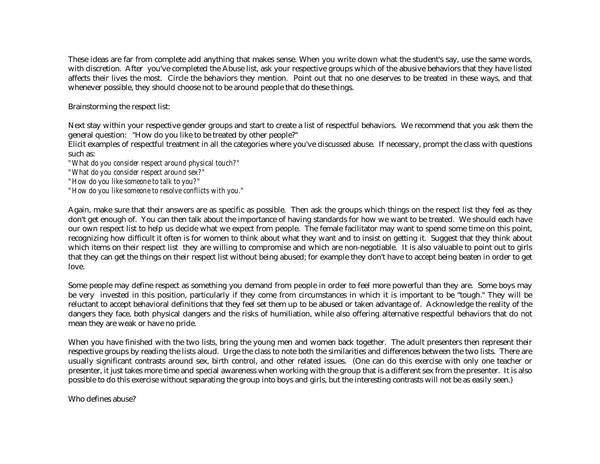These ideas are far from complete add anything that makes sense. When you write down what the student's say, use the same words, with discretion. After you've completed the Abuse list, ask your respective groups which of the abusive behaviors that they have listed affects their lives the most. Circle the behaviors they mention. Point out that no one deserves to be treated in these ways, and that whenever possible, they should choose not to be around people that do these things.

Brainstorming the respect list:

Next stay within your respective gender groups and start to create a list of respectful behaviors. We recommend that you ask them the general question: "How do you like to be treated by other people?"

Elicit examples of respectful treatment in all the categories where you've discussed abuse. If necessary, prompt the class with questions such as:

*"What do you consider respect around physical touch?"*

*"What do you consider respect around sex?"*

*"How do you like someone to talk to you?"*

*"How do you like someone to resolve conflicts with you."*

Again, make sure that their answers are as specific as possible. Then ask the groups which things on the respect list they feel as they don't get enough of. You can then talk about the importance of having standards for how we want to be treated. We should each have our own respect list to help us decide what we expect from people. The female facilitator may want to spend some time on this point, recognizing how difficult it often is for women to think about what they want and to insist on getting it. Suggest that they think about which items on their respect list they are willing to compromise and which are non-negotiable. It is also valuable to point out to girls that they can get the things on their respect list without being abused; for example they don't have to accept being beaten in order to get love.

Some people may define respect as something you demand from people in order to feel more powerful than they are. Some boys may be very invested in this position, particularly if they come from circumstances in which it is important to be "tough." They will be reluctant to accept behavioral definitions that they feel set them up to be abused or taken advantage of. Acknowledge the reality of the dangers they face, both physical dangers and the risks of humiliation, while also offering alternative respectful behaviors that do not mean they are weak or have no pride.

When you have finished with the two lists, bring the young men and women back together. The adult presenters then represent their respective groups by reading the lists aloud. Urge the class to note both the similarities and differences between the two lists. There are usually significant contrasts around sex, birth control, and other related issues. (One can do this exercise with only one teacher or presenter, it just takes more time and special awareness when working with the group that is a different sex from the presenter. It is also possible to do this exercise without separating the group into boys and girls, but the interesting contrasts will not be as easily seen.)

Who defines abuse?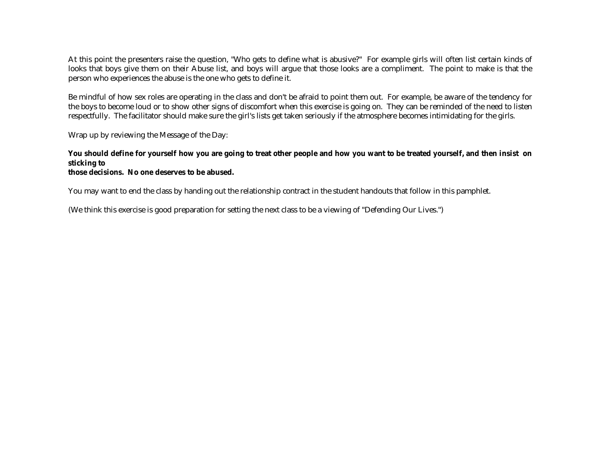At this point the presenters raise the question, "Who gets to define what is abusive?" For example girls will often list certain kinds of looks that boys give them on their Abuse list, and boys will argue that those looks are a compliment. The point to make is that the person who experiences the abuse is the one who gets to define it.

Be mindful of how sex roles are operating in the class and don't be afraid to point them out. For example, be aware of the tendency for the boys to become loud or to show other signs of discomfort when this exercise is going on. They can be reminded of the need to listen respectfully. The facilitator should make sure the girl's lists get taken seriously if the atmosphere becomes intimidating for the girls.

Wrap up by reviewing the Message of the Day:

#### **You should define for yourself how you are going to treat other people and how you want to be treated yourself, and then insist on sticking to those decisions. No one deserves to be abused.**

You may want to end the class by handing out the relationship contract in the student handouts that follow in this pamphlet.

(We think this exercise is good preparation for setting the next class to be a viewing of "Defending Our Lives.")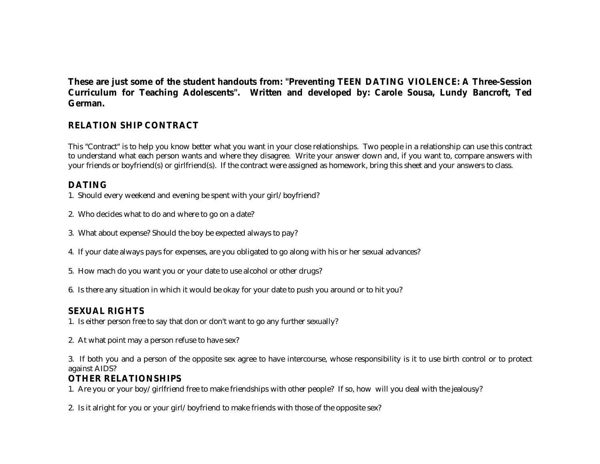**These are just some of the student handouts from: "Preventing TEEN DATING VIOLENCE: A Three-Session Curriculum for Teaching Adolescents". Written and developed by: Carole Sousa, Lundy Bancroft, Ted German.**

### **RELATION SHIP CONTRACT**

This "Contract" is to help you know better what you want in your close relationships. Two people in a relationship can use this contract to understand what each person wants and where they disagree. Write your answer down and, if you want to, compare answers with your friends or boyfriend(s) or girlfriend(s). If the contract were assigned as homework, bring this sheet and your answers to class.

### **DATING**

1. Should every weekend and evening be spent with your girl/boyfriend?

- 2. Who decides what to do and where to go on a date?
- 3. What about expense? Should the boy be expected always to pay?
- 4. If your date always pays for expenses, are you obligated to go along with his or her sexual advances?
- 5. How mach do you want you or your date to use alcohol or other drugs?
- 6. Is there any situation in which it would be okay for your date to push you around or to hit you?

## **SEXUAL RIGHTS**

- 1. Is either person free to say that don or don't want to go any further sexually?
- 2. At what point may a person refuse to have sex?

3. If both you and a person of the opposite sex agree to have intercourse, whose responsibility is it to use birth control or to protect against AIDS?

### **OTHER RELATIONSHIPS**

1. Are you or your boy/girlfriend free to make friendships with other people? If so, how will you deal with the jealousy?

2. Is it alright for you or your girl/boyfriend to make friends with those of the opposite sex?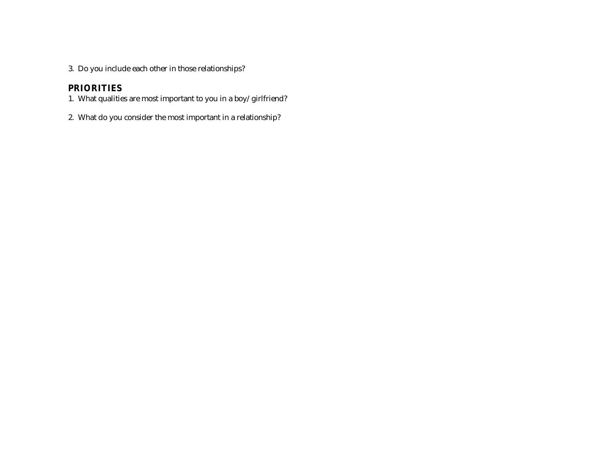3. Do you include each other in those relationships?

# **PRIORITIES**

- 1. What qualities are most important to you in a boy/girlfriend?
- 2. What do you consider the most important in a relationship?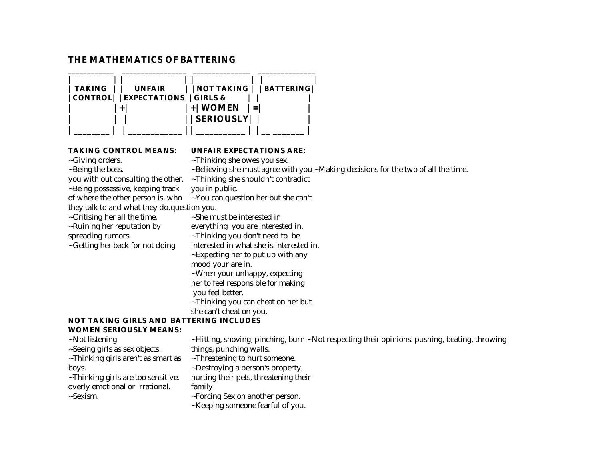### **THE MATHEMATICS OF BATTERING**



#### **TAKING CONTROL MEANS: UNFAIR EXPECTATIONS ARE:**

- 
- ~Giving orders. ~Thinking she owes you sex.
- 

~Being the boss. ~Believing she must agree with you ~Making decisions for the two of all the time.

you with out consulting the other. ~Thinking she shouldn't contradict

~Being possessive, keeping track you in public. of where the other person is, who ~You can question her but she can't

they talk to and what they do.question you.

- 
- 

- 
- ~Critising her all the time. ~She must be interested in

~Ruining her reputation by everything you are interested in.

spreading rumors.  $\sim$ Thinking you don't need to be

 $\sim$ Getting her back for not doing interested in what she is interested in.

~Expecting her to put up with any

mood your are in.

~When your unhappy, expecting

her to feel responsible for making

you feel better.

~Thinking you can cheat on her but

she can't cheat on you.

#### **NOT TAKING GIRLS AND BATTERING INCLUDES WOMEN SERIOUSLY MEANS:**

~Seeing girls as sex objects. things, punching walls.

 $\sim$ Thinking girls aren't as smart as  $\sim$ Threatening to hurt someone.

overly emotional or irrational. family

~Sexism. ~Forcing Sex on another person.

~Keeping someone fearful of you.

- ~Not listening. ~Hitting, shoving, pinching, burn-~Not respecting their opinions. pushing, beating, throwing
	-
- boys.  $\sim$ Destroying a person's property,
- ~Thinking girls are too sensitive, hurting their pets, threatening their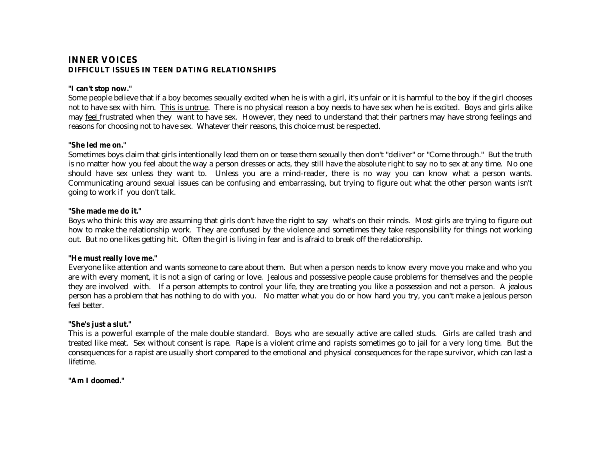### **INNER VOICES DIFFICULT ISSUES IN TEEN DATING RELATIONSHIPS**

#### **"I can't stop now."**

Some people believe that if a boy becomes sexually excited when he is with a girl, it's unfair or it is harmful to the boy if the girl chooses not to have sex with him. This is untrue. There is no physical reason a boy needs to have sex when he is excited. Boys and girls alike may feel frustrated when they want to have sex. However, they need to understand that their partners may have strong feelings and reasons for choosing not to have sex. Whatever their reasons, this choice must be respected.

#### **"She led me on."**

Sometimes boys claim that girls intentionally lead them on or tease them sexually then don't "deliver" or "Come through." But the truth is no matter how you feel about the way a person dresses or acts, they still have the absolute right to say no to sex at any time. No one should have sex unless they want to. Unless you are a mind-reader, there is no way you can know what a person wants. Communicating around sexual issues can be confusing and embarrassing, but trying to figure out what the other person wants isn't going to work if you don't talk.

#### **"She made me do it."**

Boys who think this way are assuming that girls don't have the right to say what's on their minds. Most girls are trying to figure out how to make the relationship work. They are confused by the violence and sometimes they take responsibility for things not working out. But no one likes getting hit. Often the girl is living in fear and is afraid to break off the relationship.

#### **"He must really love me."**

Everyone like attention and wants someone to care about them. But when a person needs to know every move you make and who you are with every moment, it is not a sign of caring or love. Jealous and possessive people cause problems for themselves and the people they are involved with. If a person attempts to control your life, they are treating you like a possession and not a person. A jealous person has a problem that has nothing to do with you. No matter what you do or how hard you try, you can't make a jealous person feel better.

#### **"She's just a slut."**

This is a powerful example of the male double standard. Boys who are sexually active are called studs. Girls are called trash and treated like meat. Sex without consent is rape. Rape is a violent crime and rapists sometimes go to jail for a very long time. But the consequences for a rapist are usually short compared to the emotional and physical consequences for the rape survivor, which can last a lifetime.

#### **"Am I doomed."**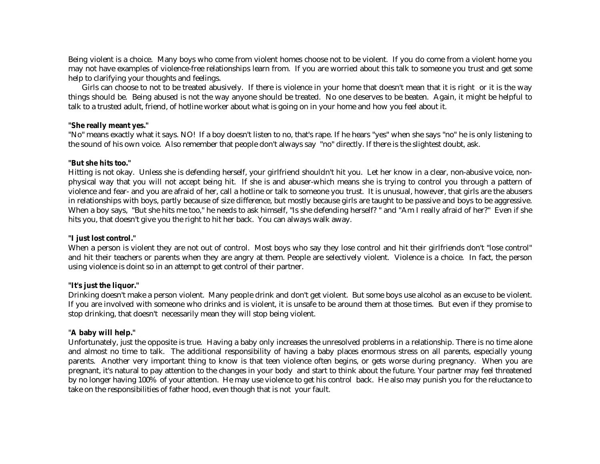Being violent is a choice. Many boys who come from violent homes choose not to be violent. If you do come from a violent home you may not have examples of violence-free relationships learn from. If you are worried about this talk to someone you trust and get some help to clarifying your thoughts and feelings.

Girls can choose to not to be treated abusively. If there is violence in your home that doesn't mean that it is right or it is the way things should be. Being abused is not the way anyone should be treated. No one deserves to be beaten. Again, it might be helpful to talk to a trusted adult, friend, of hotline worker about what is going on in your home and how you feel about it.

#### **"She really meant yes."**

"No" means exactly what it says. NO! If a boy doesn't listen to no, that's rape. If he hears "yes" when she says "no" he is only listening to the sound of his own voice. Also remember that people don't always say "no" directly. If there is the slightest doubt, ask.

#### **"But she hits too."**

Hitting is not okay. Unless she is defending herself, your girlfriend shouldn't hit you. Let her know in a clear, non-abusive voice, nonphysical way that you will not accept being hit. If she is and abuser-which means she is trying to control you through a pattern of violence and fear- and you are afraid of her, call a hotline or talk to someone you trust. It is unusual, however, that girls are the abusers in relationships with boys, partly because of size difference, but mostly because girls are taught to be passive and boys to be aggressive. When a boy says, "But she hits me too," he needs to ask himself, "Is she defending herself? " and "Am I really afraid of her?" Even if she hits you, that doesn't give you the right to hit her back. You can always walk away.

#### **"I just lost control."**

When a person is violent they are not out of control. Most boys who say they lose control and hit their girlfriends don't "lose control" and hit their teachers or parents when they are angry at them. People are selectively violent. Violence is a choice. In fact, the person using violence is doint so in an attempt to get control of their partner.

#### **"It's just the liquor."**

Drinking doesn't make a person violent. Many people drink and don't get violent. But some boys use alcohol as an excuse to be violent. If you are involved with someone who drinks and is violent, it is unsafe to be around them at those times. But even if they promise to stop drinking, that doesn't necessarily mean they will stop being violent.

#### "**A baby will help."**

Unfortunately, just the opposite is true. Having a baby only increases the unresolved problems in a relationship. There is no time alone and almost no time to talk. The additional responsibility of having a baby places enormous stress on all parents, especially young parents. Another very important thing to know is that teen violence often begins, or gets worse during pregnancy. When you are pregnant, it's natural to pay attention to the changes in your body and start to think about the future. Your partner may feel threatened by no longer having 100% of your attention. He may use violence to get his control back. He also may punish you for the reluctance to take on the responsibilities of father hood, even though that is not your fault.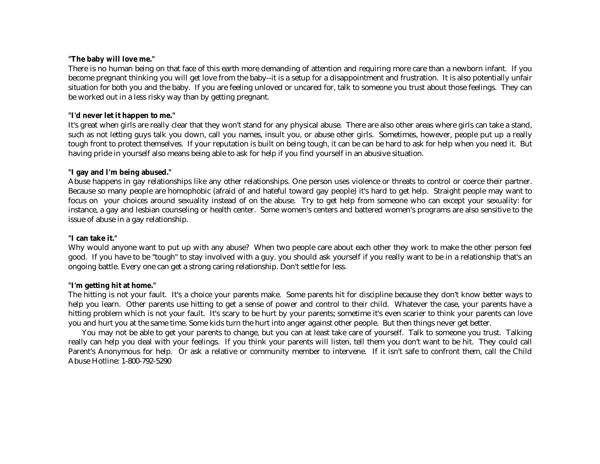#### **"The baby will love me."**

There is no human being on that face of this earth more demanding of attention and requiring more care than a newborn infant. If you become pregnant thinking you will get love from the baby--it is a setup for a disappointment and frustration. It is also potentially unfair situation for both you and the baby. If you are feeling unloved or uncared for, talk to someone you trust about those feelings. They can be worked out in a less risky way than by getting pregnant.

#### **"I'd never let it happen to me."**

It's great when girls are really clear that they won't stand for any physical abuse. There are also other areas where girls can take a stand, such as not letting guys talk you down, call you names, insult you, or abuse other girls. Sometimes, however, people put up a really tough front to protect themselves. If your reputation is built on being tough, it can be can be hard to ask for help when you need it. But having pride in yourself also means being able to ask for help if you find yourself in an abusive situation.

#### **"I gay and I'm being abused."**

Abuse happens in gay relationships like any other relationships. One person uses violence or threats to control or coerce their partner. Because so many people are homophobic (afraid of and hateful toward gay people) it's hard to get help. Straight people may want to focus on your choices around sexuality instead of on the abuse. Try to get help from someone who can except your sexuality: for instance, a gay and lesbian counseling or health center. Some women's centers and battered women's programs are also sensitive to the issue of abuse in a gay relationship.

#### **"I can take it."**

Why would anyone want to put up with any abuse? When two people care about each other they work to make the other person feel good. If you have to be "tough" to stay involved with a guy. you should ask yourself if you really want to be in a relationship that's an ongoing battle. Every one can get a strong caring relationship. Don't settle for less.

#### **"I'm getting hit at home."**

The hitting is not your fault. It's a choice your parents make. Some parents hit for discipline because they don't know better ways to help you learn. Other parents use hitting to get a sense of power and control to their child. Whatever the case, your parents have a hitting problem which is not your fault. It's scary to be hurt by your parents; sometime it's even scarier to think your parents can love you and hurt you at the same time. Some kids turn the hurt into anger against other people. But then things never get better.

You may not be able to get your parents to change, but you can at least take care of yourself. Talk to someone you trust. Talking really can help you deal with your feelings. If you think your parents will listen, tell them you don't want to be hit. They could call Parent's Anonymous for help. Or ask a relative or community member to intervene. If it isn't safe to confront them, call the Child Abuse Hotline: 1-800-792-5290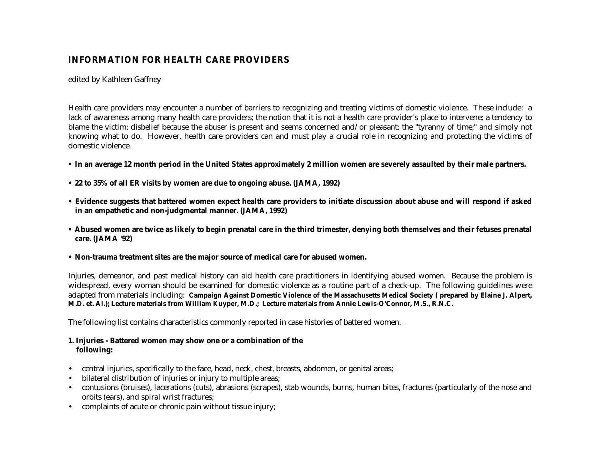### **INFORMATION FOR HEALTH CARE PROVIDERS**

edited by Kathleen Gaffney

Health care providers may encounter a number of barriers to recognizing and treating victims of domestic violence. These include: a lack of awareness among many health care providers; the notion that it is not a health care provider's place to intervene; a tendency to blame the victim; disbelief because the abuser is present and seems concerned and/or pleasant; the "tyranny of time;" and simply not knowing what to do. However, health care providers can and must play a crucial role in recognizing and protecting the victims of domestic violence.

- **In an average 12 month period in the United States approximately 2 million women are severely assaulted by their male partners.**
- **22 to 35% of all ER visits by women are due to ongoing abuse. (JAMA, 1992)**
- **Evidence suggests that battered women expect health care providers to initiate discussion about abuse and will respond if asked in an empathetic and non-judgmental manner. (JAMA, 1992)**
- **Abused women are twice as likely to begin prenatal care in the third trimester, denying both themselves and their fetuses prenatal care. (JAMA '92)**
- **Non-trauma treatment sites are the major source of medical care for abused women.**

Injuries, demeanor, and past medical history can aid health care practitioners in identifying abused women. Because the problem is widespread, every woman should be examined for domestic violence as a routine part of a check-up. The following guidelines were adapted from materials including: **Campaign Against Domestic Violence of the Massachusetts Medical Society ( prepared by Elaine J. Alpert, M.D. et. Al.); Lecture materials from William Kuyper, M.D.; Lecture materials from Annie Lewis-O'Connor, M.S., R.N.C.**

The following list contains characteristics commonly reported in case histories of battered women.

#### **1. Injuries - Battered women may show one or a combination of the following:**

- central injuries, specifically to the face, head, neck, chest, breasts, abdomen, or genital areas;
- bilateral distribution of injuries or injury to multiple areas;
- contusions (bruises), lacerations (cuts), abrasions (scrapes), stab wounds, burns, human bites, fractures (particularly of the nose and orbits (ears), and spiral wrist fractures;
- complaints of acute or chronic pain without tissue injury;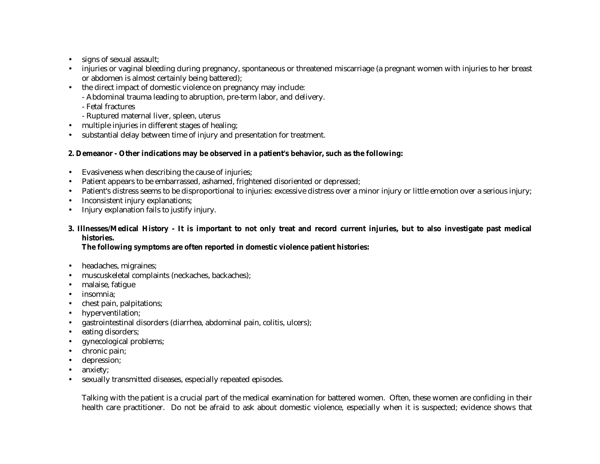- signs of sexual assault;
- injuries or vaginal bleeding during pregnancy, spontaneous or threatened miscarriage (a pregnant women with injuries to her breast or abdomen is almost certainly being battered);
- the direct impact of domestic violence on pregnancy may include:
	- Abdominal trauma leading to abruption, pre-term labor, and delivery.
	- Fetal fractures
	- Ruptured maternal liver, spleen, uterus
- multiple injuries in different stages of healing;
- substantial delay between time of injury and presentation for treatment.

#### **2. Demeanor - Other indications may be observed in a patient's behavior, such as the following:**

- Evasiveness when describing the cause of injuries;
- Patient appears to be embarrassed, ashamed, frightened disoriented or depressed;
- Patient's distress seems to be disproportional to injuries: excessive distress over a minor injury or little emotion over a serious injury;
- Inconsistent injury explanations;
- Injury explanation fails to justify injury.

### **3. Illnesses/Medical History - It is important to not only treat and record current injuries, but to also investigate past medical histories.**

#### **The following symptoms are often reported in domestic violence patient histories:**

- headaches, migraines;
- muscuskeletal complaints (neckaches, backaches);
- malaise, fatigue
- insomnia;
- chest pain, palpitations;
- hyperventilation;
- gastrointestinal disorders (diarrhea, abdominal pain, colitis, ulcers);
- eating disorders;
- gynecological problems;
- chronic pain;
- depression;
- anxiety;
- sexually transmitted diseases, especially repeated episodes.

Talking with the patient is a crucial part of the medical examination for battered women. Often, these women are confiding in their health care practitioner. Do not be afraid to ask about domestic violence, especially when it is suspected; evidence shows that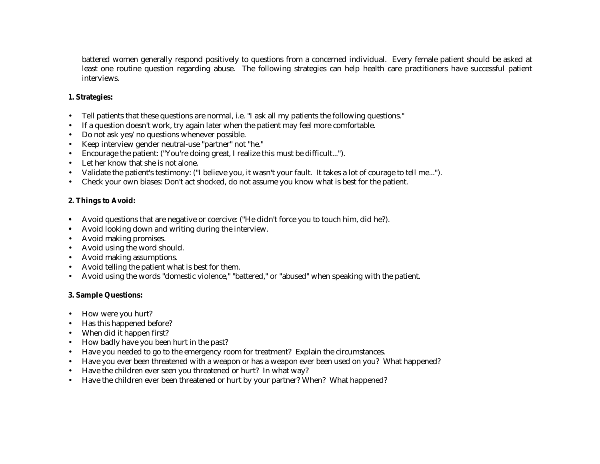battered women generally respond positively to questions from a concerned individual. Every female patient should be asked at least one routine question regarding abuse. The following strategies can help health care practitioners have successful patient interviews.

### **1. Strategies:**

- Tell patients that these questions are normal, i.e. "I ask all my patients the following questions."
- If a question doesn't work, try again later when the patient may feel more comfortable.
- Do not ask yes/no questions whenever possible.
- Keep interview gender neutral-use "partner" not "he."
- Encourage the patient: ("You're doing great, I realize this must be difficult...").
- Let her know that she is not alone.
- Validate the patient's testimony: ("I believe you, it wasn't your fault. It takes a lot of courage to tell me...").
- Check your own biases: Don't act shocked, do not assume you know what is best for the patient.

### **2. Things to Avoid:**

- **•** Avoid questions that are negative or coercive: ("He didn't force you to touch him, did he?).
- **•** Avoid looking down and writing during the interview.
- Avoid making promises.
- Avoid using the word should.
- Avoid making assumptions.
- Avoid telling the patient what is best for them.
- Avoid using the words "domestic violence," "battered," or "abused" when speaking with the patient.

### **3. Sample Questions:**

- How were you hurt?
- Has this happened before?
- When did it happen first?
- How badly have you been hurt in the past?
- Have you needed to go to the emergency room for treatment? Explain the circumstances.
- Have you ever been threatened with a weapon or has a weapon ever been used on you? What happened?
- Have the children ever seen you threatened or hurt? In what way?
- Have the children ever been threatened or hurt by your partner? When? What happened?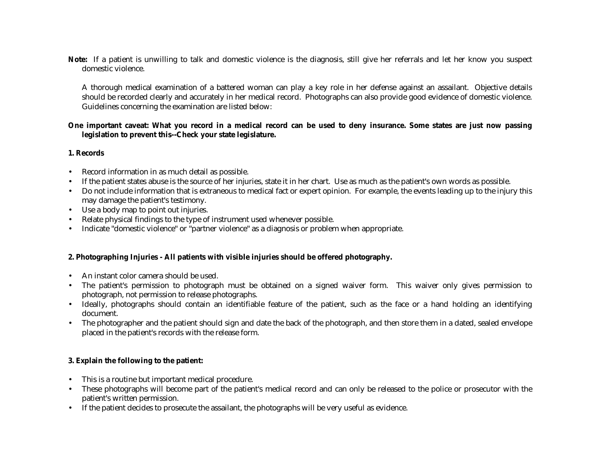**Note:** If a patient is unwilling to talk and domestic violence is the diagnosis, still give her referrals and let her know you suspect domestic violence.

A thorough medical examination of a battered woman can play a key role in her defense against an assailant. Objective details should be recorded clearly and accurately in her medical record. Photographs can also provide good evidence of domestic violence. Guidelines concerning the examination are listed below:

### **One important caveat: What you record in a medical record can be used to deny insurance. Some states are just now passing legislation to prevent this--Check your state legislature.**

#### **1. Records**

- Record information in as much detail as possible.
- If the patient states abuse is the source of her injuries, state it in her chart. Use as much as the patient's own words as possible.
- Do not include information that is extraneous to medical fact or expert opinion. For example, the events leading up to the injury this may damage the patient's testimony.
- Use a body map to point out injuries.
- Relate physical findings to the type of instrument used whenever possible.
- Indicate "domestic violence" or "partner violence" as a diagnosis or problem when appropriate.

### **2. Photographing Injuries - All patients with visible injuries should be offered photography.**

- An instant color camera should be used.
- The patient's permission to photograph must be obtained on a signed waiver form. This waiver only gives permission to photograph, not permission to release photographs.
- Ideally, photographs should contain an identifiable feature of the patient, such as the face or a hand holding an identifying document.
- The photographer and the patient should sign and date the back of the photograph, and then store them in a dated, sealed envelope placed in the patient's records with the release form.

### **3. Explain the following to the patient:**

- This is a routine but important medical procedure.
- These photographs will become part of the patient's medical record and can only be released to the police or prosecutor with the patient's written permission.
- If the patient decides to prosecute the assailant, the photographs will be very useful as evidence.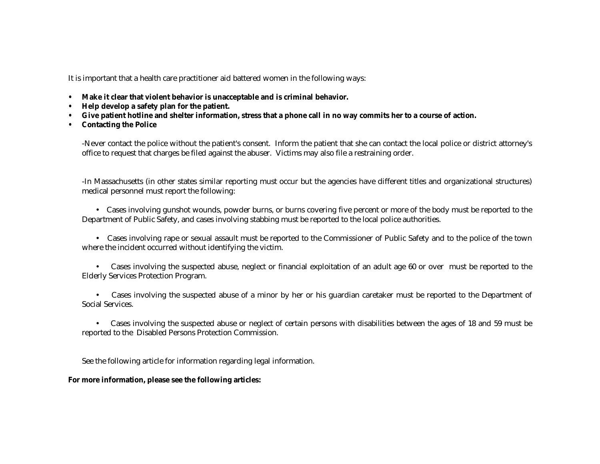It is important that a health care practitioner aid battered women in the following ways:

- **• Make it clear that violent behavior is unacceptable and is criminal behavior.**
- **• Help develop a safety plan for the patient.**
- **• Give patient hotline and shelter information, stress that a phone call in no way commits her to a course of action.**
- **• Contacting the Police**

-Never contact the police without the patient's consent. Inform the patient that she can contact the local police or district attorney's office to request that charges be filed against the abuser. Victims may also file a restraining order.

-In Massachusetts (in other states similar reporting must occur but the agencies have different titles and organizational structures) medical personnel must report the following:

• Cases involving gunshot wounds, powder burns, or burns covering five percent or more of the body must be reported to the Department of Public Safety, and cases involving stabbing must be reported to the local police authorities.

• Cases involving rape or sexual assault must be reported to the Commissioner of Public Safety and to the police of the town where the incident occurred without identifying the victim.

• Cases involving the suspected abuse, neglect or financial exploitation of an adult age 60 or over must be reported to the Elderly Services Protection Program.

• Cases involving the suspected abuse of a minor by her or his guardian caretaker must be reported to the Department of Social Services.

• Cases involving the suspected abuse or neglect of certain persons with disabilities between the ages of 18 and 59 must be reported to the Disabled Persons Protection Commission.

See the following article for information regarding legal information.

#### **For more information, please see the following articles:**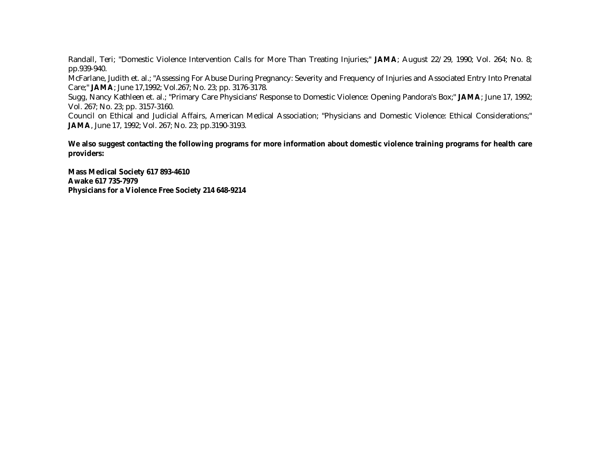Randall, Teri; "Domestic Violence Intervention Calls for More Than Treating Injuries;" **JAMA**; August 22/29, 1990; Vol. 264; No. 8; pp.939-940.

McFarlane, Judith et. al.; "Assessing For Abuse During Pregnancy: Severity and Frequency of Injuries and Associated Entry Into Prenatal Care;" **JAMA**; June 17,1992; Vol.267; No. 23; pp. 3176-3178.

Sugg, Nancy Kathleen et. al.; "Primary Care Physicians' Response to Domestic Violence: Opening Pandora's Box;" **JAMA**; June 17, 1992; Vol. 267; No. 23; pp. 3157-3160.

Council on Ethical and Judicial Affairs, American Medical Association; "Physicians and Domestic Violence: Ethical Considerations;" **JAMA**, June 17, 1992; Vol. 267; No. 23; pp.3190-3193.

**We also suggest contacting the following programs for more information about domestic violence training programs for health care providers:**

**Mass Medical Society 617 893-4610 Awake 617 735-7979 Physicians for a Violence Free Society 214 648-9214**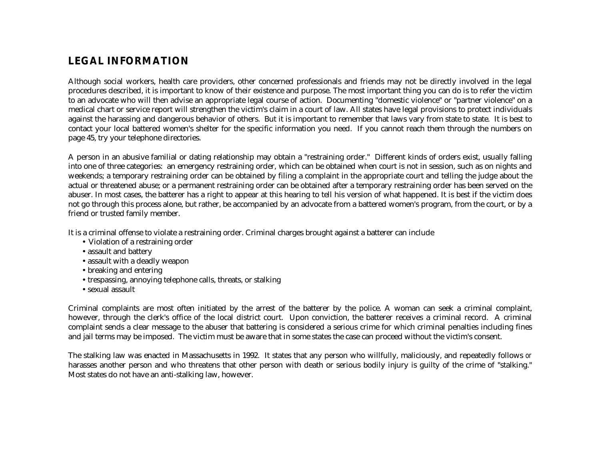# **LEGAL INFORMATION**

Although social workers, health care providers, other concerned professionals and friends may not be directly involved in the legal procedures described, it is important to know of their existence and purpose. The most important thing you can do is to refer the victim to an advocate who will then advise an appropriate legal course of action. Documenting "domestic violence" or "partner violence" on a medical chart or service report will strengthen the victim's claim in a court of law. All states have legal provisions to protect individuals against the harassing and dangerous behavior of others. But it is important to remember that laws vary from state to state. It is best to contact your local battered women's shelter for the specific information you need. If you cannot reach them through the numbers on page 45, try your telephone directories.

A person in an abusive familial or dating relationship may obtain a "restraining order." Different kinds of orders exist, usually falling into one of three categories: an emergency restraining order, which can be obtained when court is not in session, such as on nights and weekends; a temporary restraining order can be obtained by filing a complaint in the appropriate court and telling the judge about the actual or threatened abuse; or a permanent restraining order can be obtained after a temporary restraining order has been served on the abuser. In most cases, the batterer has a right to appear at this hearing to tell his version of what happened. It is best if the victim does not go through this process alone, but rather, be accompanied by an advocate from a battered women's program, from the court, or by a friend or trusted family member.

It is a criminal offense to violate a restraining order. Criminal charges brought against a batterer can include

- Violation of a restraining order
- assault and battery
- assault with a deadly weapon
- breaking and entering
- trespassing, annoying telephone calls, threats, or stalking
- sexual assault

Criminal complaints are most often initiated by the arrest of the batterer by the police. A woman can seek a criminal complaint, however, through the clerk's office of the local district court. Upon conviction, the batterer receives a criminal record. A criminal complaint sends a clear message to the abuser that battering is considered a serious crime for which criminal penalties including fines and jail terms may be imposed. The victim must be aware that in some states the case can proceed without the victim's consent.

The stalking law was enacted in Massachusetts in 1992. It states that any person who willfully, maliciously, and repeatedly follows *or* harasses another person and who threatens that other person with death or serious bodily injury is guilty of the crime of "stalking." Most states do not have an anti-stalking law, however.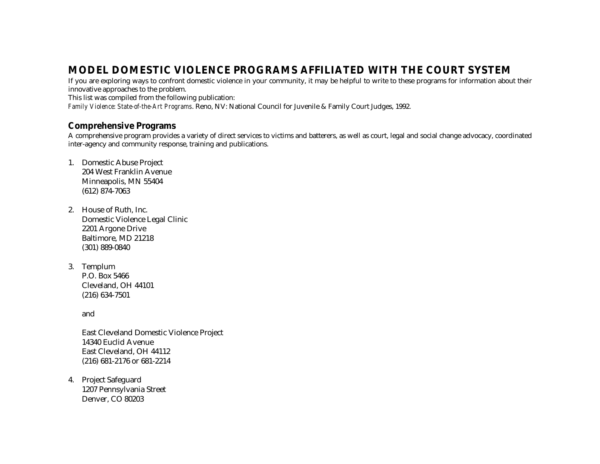# **MODEL DOMESTIC VIOLENCE PROGRAMS AFFILIATED WITH THE COURT SYSTEM**

If you are exploring ways to confront domestic violence in your community, it may be helpful to write to these programs for information about their innovative approaches to the problem.

This list was compiled from the following publication:

*Family Violence: State-of-the-Art Programs*. Reno, NV: National Council for Juvenile & Family Court Judges, 1992.

### **Comprehensive Programs**

A comprehensive program provides a variety of direct services to victims and batterers, as well as court, legal and social change advocacy, coordinated inter-agency and community response, training and publications.

- 1. Domestic Abuse Project 204 West Franklin Avenue Minneapolis, MN 55404 (612) 874-7063
- 2. House of Ruth, Inc. Domestic Violence Legal Clinic 2201 Argone Drive Baltimore, MD 21218 (301) 889-0840
- 3. Templum P.O. Box 5466 Cleveland, OH 44101 (216) 634-7501

and

East Cleveland Domestic Violence Project 14340 Euclid Avenue East Cleveland, OH 44112 (216) 681-2176 or 681-2214

4. Project Safeguard 1207 Pennsylvania Street Denver, CO 80203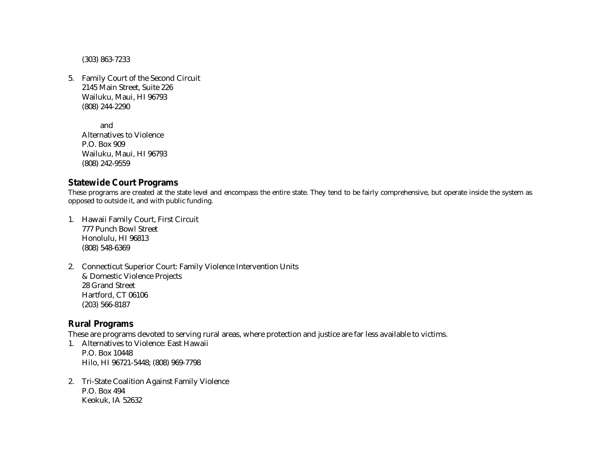(303) 863-7233

5. Family Court of the Second Circuit 2145 Main Street, Suite 226 Wailuku, Maui, HI 96793 (808) 244-2290

 and Alternatives to Violence P.O. Box 909 Wailuku, Maui, HI 96793 (808) 242-9559

### **Statewide Court Programs**

These programs are created at the state level and encompass the entire state. They tend to be fairly comprehensive, but operate inside the system as opposed to outside it, and with public funding.

- 1. Hawaii Family Court, First Circuit 777 Punch Bowl Street Honolulu, HI 96813 (808) 548-6369
- 2. Connecticut Superior Court: Family Violence Intervention Units & Domestic Violence Projects 28 Grand Street Hartford, CT 06106 (203) 566-8187

### **Rural Programs**

These are programs devoted to serving rural areas, where protection and justice are far less available to victims.

- 1. Alternatives to Violence: East Hawaii P.O. Box 10448 Hilo, HI 96721-5448; (808) 969-7798
- 2. Tri-State Coalition Against Family Violence P.O. Box 494 Keokuk, IA 52632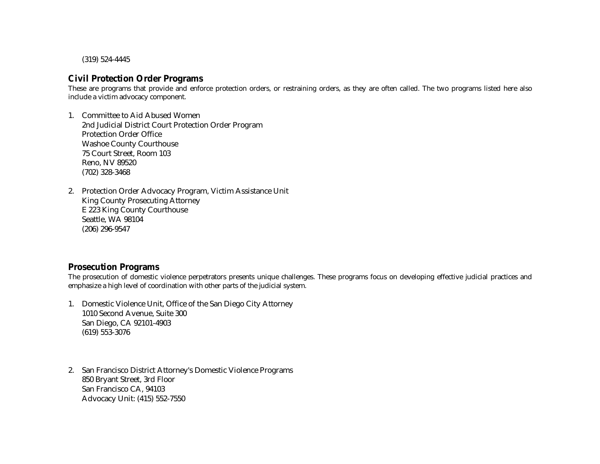#### (319) 524-4445

### **Civil Protection Order Programs**

These are programs that provide and enforce protection orders, or restraining orders, as they are often called. The two programs listed here also include a victim advocacy component.

1. Committee to Aid Abused Women 2nd Judicial District Court Protection Order Program Protection Order Office Washoe County Courthouse 75 Court Street, Room 103 Reno, NV 89520 (702) 328-3468

2. Protection Order Advocacy Program, Victim Assistance Unit King County Prosecuting Attorney E 223 King County Courthouse Seattle, WA 98104 (206) 296-9547

### **Prosecution Programs**

The prosecution of domestic violence perpetrators presents unique challenges. These programs focus on developing effective judicial practices and emphasize a high level of coordination with other parts of the judicial system.

- 1. Domestic Violence Unit, Office of the San Diego City Attorney 1010 Second Avenue, Suite 300 San Diego, CA 92101-4903 (619) 553-3076
- 2. San Francisco District Attorney's Domestic Violence Programs 850 Bryant Street, 3rd Floor San Francisco CA, 94103 Advocacy Unit: (415) 552-7550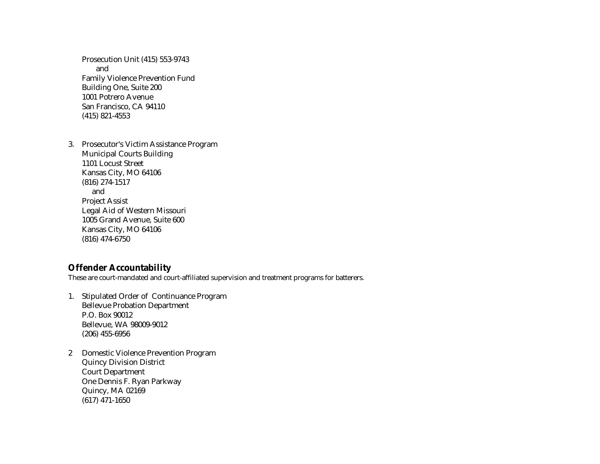Prosecution Unit (415) 553-9743 and Family Violence Prevention Fund Building One, Suite 200 1001 Potrero Avenue San Francisco, CA 94110 (415) 821-4553

3. Prosecutor's Victim Assistance Program Municipal Courts Building 1101 Locust Street Kansas City, MO 64106 (816) 274-1517 and Project Assist Legal Aid of Western Missouri 1005 Grand Avenue, Suite 600 Kansas City, MO 64106 (816) 474-6750

### **Offender Accountability**

These are court-mandated and court-affiliated supervision and treatment programs for batterers.

- 1. Stipulated Order of Continuance Program Bellevue Probation Department P.O. Box 90012 Bellevue, WA 98009-9012 (206) 455-6956
- 2 Domestic Violence Prevention Program Quincy Division District Court Department One Dennis F. Ryan Parkway Quincy, MA 02169 (617) 471-1650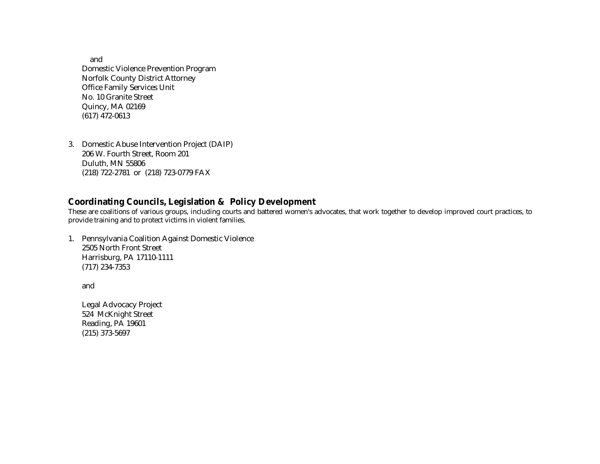and Domestic Violence Prevention Program Norfolk County District Attorney Office Family Services Unit No. 10 Granite Street Quincy, MA 02169 (617) 472-0613

3. Domestic Abuse Intervention Project (DAIP) 206 W. Fourth Street, Room 201 Duluth, MN 55806 (218) 722-2781 or (218) 723-0779 FAX

### **Coordinating Councils, Legislation & Policy Development**

These are coalitions of various groups, including courts and battered women's advocates, that work together to develop improved court practices, to provide training and to protect victims in violent families.

1. Pennsylvania Coalition Against Domestic Violence 2505 North Front Street Harrisburg, PA 17110-1111 (717) 234-7353

and

Legal Advocacy Project 524 McKnight Street Reading, PA 19601 (215) 373-5697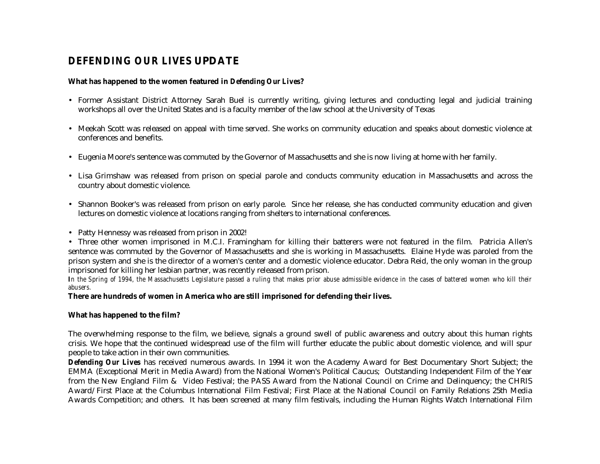# *DEFENDING OUR LIVES* **UPDATE**

#### **What has happened to the women featured in** *Defending Our Lives***?**

- Former Assistant District Attorney Sarah Buel is currently writing, giving lectures and conducting legal and judicial training workshops all over the United States and is a faculty member of the law school at the University of Texas
- Meekah Scott was released on appeal with time served. She works on community education and speaks about domestic violence at conferences and benefits.
- Eugenia Moore's sentence was commuted by the Governor of Massachusetts and she is now living at home with her family.
- Lisa Grimshaw was released from prison on special parole and conducts community education in Massachusetts and across the country about domestic violence.
- Shannon Booker's was released from prison on early parole. Since her release, she has conducted community education and given lectures on domestic violence at locations ranging from shelters to international conferences.
- Patty Hennessy was released from prison in 2002!

• Three other women imprisoned in M.C.I. Framingham for killing their batterers were not featured in the film. Patricia Allen's sentence was commuted by the Governor of Massachusetts and she is working in Massachusetts. Elaine Hyde was paroled from the prison system and she is the director of a women's center and a domestic violence educator. Debra Reid, the only woman in the group imprisoned for killing her lesbian partner, was recently released from prison.

*In the Spring of 1994, the Massachusetts Legislature passed a ruling that makes prior abuse admissible evidence in the cases of battered women who kill their abusers.*

#### **There are hundreds of women in America who are still imprisoned for defending their lives.**

#### **What has happened to the film?**

The overwhelming response to the film, we believe, signals a ground swell of public awareness and outcry about this human rights crisis. We hope that the continued widespread use of the film will further educate the public about domestic violence, and will spur people to take action in their own communities.

*Defending Our Lives* has received numerous awards. In 1994 it won the Academy Award for Best Documentary Short Subject; the EMMA (Exceptional Merit in Media Award) from the National Women's Political Caucus; Outstanding Independent Film of the Year from the New England Film & Video Festival; the PASS Award from the National Council on Crime and Delinquency; the CHRIS Award/First Place at the Columbus International Film Festival; First Place at the National Council on Family Relations 25th Media Awards Competition; and others. It has been screened at many film festivals, including the Human Rights Watch International Film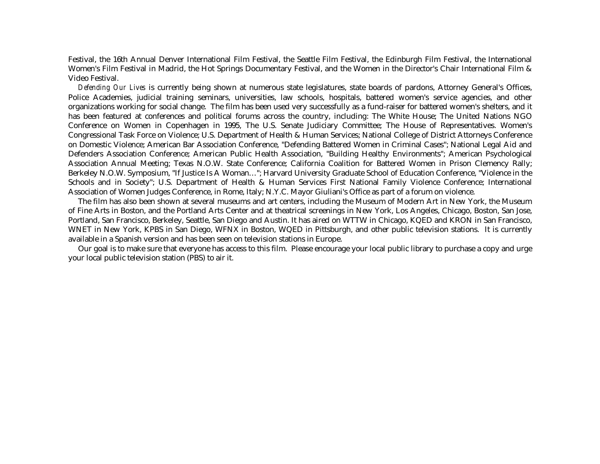Festival, the 16th Annual Denver International Film Festival, the Seattle Film Festival, the Edinburgh Film Festival, the International Women's Film Festival in Madrid, the Hot Springs Documentary Festival, and the Women in the Director's Chair International Film & Video Festival.

*Defending Our Lives* is currently being shown at numerous state legislatures, state boards of pardons, Attorney General's Offices, Police Academies, judicial training seminars, universities, law schools, hospitals, battered women's service agencies, and other organizations working for social change. The film has been used very successfully as a fund-raiser for battered women's shelters, and it has been featured at conferences and political forums across the country, including: The White House; The United Nations NGO Conference on Women in Copenhagen in 1995, The U.S. Senate Judiciary Committee; The House of Representatives. Women's Congressional Task Force on Violence; U.S. Department of Health & Human Services; National College of District Attorneys Conference on Domestic Violence; American Bar Association Conference, "Defending Battered Women in Criminal Cases"; National Legal Aid and Defenders Association Conference; American Public Health Association, "Building Healthy Environments"; American Psychological Association Annual Meeting; Texas N.O.W. State Conference; California Coalition for Battered Women in Prison Clemency Rally; Berkeley N.O.W. Symposium, "If Justice Is A Woman…"; Harvard University Graduate School of Education Conference, "Violence in the Schools and in Society"; U.S. Department of Health & Human Services First National Family Violence Conference; International Association of Women Judges Conference, in Rome, Italy; N.Y.C. Mayor Giuliani's Office as part of a forum on violence.

The film has also been shown at several museums and art centers, including the Museum of Modern Art in New York, the Museum of Fine Arts in Boston, and the Portland Arts Center and at theatrical screenings in New York, Los Angeles, Chicago, Boston, San Jose, Portland, San Francisco, Berkeley, Seattle, San Diego and Austin. It has aired on WTTW in Chicago, KQED and KRON in San Francisco, WNET in New York, KPBS in San Diego, WFNX in Boston, WQED in Pittsburgh, and other public television stations. It is currently available in a Spanish version and has been seen on television stations in Europe.

Our goal is to make sure that everyone has access to this film. Please encourage your local public library to purchase a copy and urge your local public television station (PBS) to air it.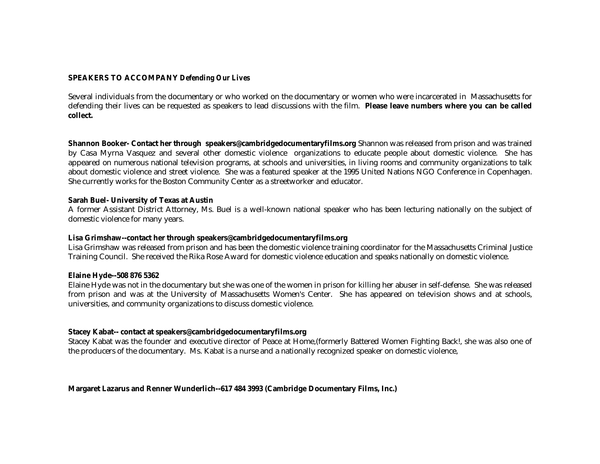#### **SPEAKERS TO ACCOMPANY** *Defending Our Lives*

Several individuals from the documentary or who worked on the documentary or women who were incarcerated in Massachusetts for defending their lives can be requested as speakers to lead discussions with the film. **Please leave numbers where you can be called collect.**

**Shannon Booker- Contact her through speakers@cambridgedocumentaryfilms.org** Shannon was released from prison and was trained by Casa Myrna Vasquez and several other domestic violence organizations to educate people about domestic violence. She has appeared on numerous national television programs, at schools and universities, in living rooms and community organizations to talk about domestic violence and street violence. She was a featured speaker at the 1995 United Nations NGO Conference in Copenhagen. She currently works for the Boston Community Center as a streetworker and educator.

#### **Sarah Buel- University of Texas at Austin**

A former Assistant District Attorney, Ms. Buel is a well-known national speaker who has been lecturing nationally on the subject of domestic violence for many years.

#### **Lisa Grimshaw--contact her through speakers@cambridgedocumentaryfilms.org**

Lisa Grimshaw was released from prison and has been the domestic violence training coordinator for the Massachusetts Criminal Justice Training Council. She received the Rika Rose Award for domestic violence education and speaks nationally on domestic violence.

#### **Elaine Hyde--508 876 5362**

Elaine Hyde was not in the documentary but she was one of the women in prison for killing her abuser in self-defense. She was released from prison and was at the University of Massachusetts Women's Center. She has appeared on television shows and at schools, universities, and community organizations to discuss domestic violence.

#### **Stacey Kabat-- contact at speakers@cambridgedocumentaryfilms.org**

Stacey Kabat was the founder and executive director of Peace at Home,(formerly Battered Women Fighting Back!, she was also one of the producers of the documentary. Ms. Kabat is a nurse and a nationally recognized speaker on domestic violence,

#### **Margaret Lazarus and Renner Wunderlich--617 484 3993 (Cambridge Documentary Films, Inc.)**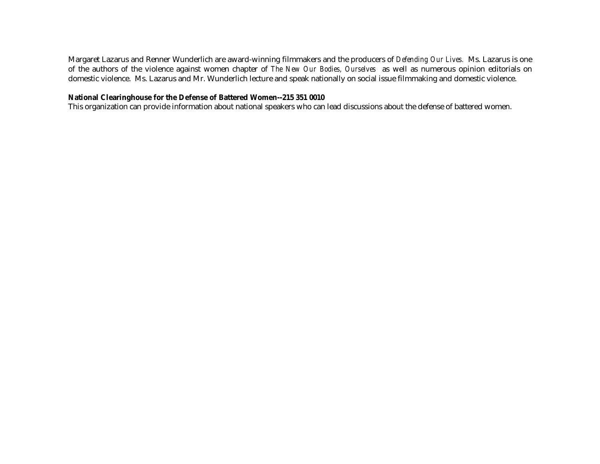Margaret Lazarus and Renner Wunderlich are award-winning filmmakers and the producers of *Defending Our Lives.* Ms. Lazarus is one of the authors of the violence against women chapter of *The New Our Bodies, Ourselves* as well as numerous opinion editorials on domestic violence. Ms. Lazarus and Mr. Wunderlich lecture and speak nationally on social issue filmmaking and domestic violence.

#### **National Clearinghouse for the Defense of Battered Women--215 351 0010**

This organization can provide information about national speakers who can lead discussions about the defense of battered women.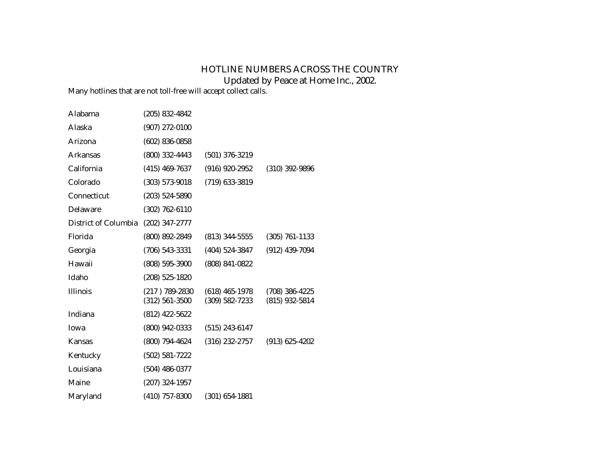# HOTLINE NUMBERS ACROSS THE COUNTRY Updated by Peace at Home Inc., 2002.

Many hotlines that are not toll-free will accept collect calls.

| Alabama              | $(205)$ 832-4842                         |                                        |                                      |
|----------------------|------------------------------------------|----------------------------------------|--------------------------------------|
| Alaska               | $(907)$ 272-0100                         |                                        |                                      |
| Arizona              | $(602)$ 836-0858                         |                                        |                                      |
| Arkansas             | $(800)$ 332-4443                         | $(501)$ 376-3219                       |                                      |
| California           | $(415)$ 469-7637                         | $(916)$ 920-2952                       | $(310)$ 392-9896                     |
| Colorado             | $(303) 573 - 9018$                       | $(719)$ 633-3819                       |                                      |
| Connecticut          | $(203)$ 524-5890                         |                                        |                                      |
| Delaware             | $(302)$ 762-6110                         |                                        |                                      |
| District of Columbia | $(202)$ 347-2777                         |                                        |                                      |
| Florida              | $(800)$ 892-2849                         | (813) 344-5555                         | $(305) 761 - 1133$                   |
| Georgia              | $(706)$ 543-3331                         | $(404)$ 524-3847                       | $(912)$ 439-7094                     |
| Hawaii               | $(808) 595 - 3900$                       | (808) 841-0822                         |                                      |
| Idaho                | $(208)$ 525-1820                         |                                        |                                      |
| <b>Illinois</b>      | $(217) 789 - 2830$<br>$(312) 561 - 3500$ | $(618)$ 465-1978<br>$(309) 582 - 7233$ | $(708)$ 386-4225<br>$(815)$ 932-5814 |
| Indiana              | $(812)$ 422-5622                         |                                        |                                      |
| Iowa                 | $(800)$ 942-0333                         | $(515)$ 243-6147                       |                                      |
| <b>Kansas</b>        | $(800)$ 794-4624                         | $(316)$ 232-2757                       | $(913) 625 - 4202$                   |
| Kentucky             | $(502) 581 - 7222$                       |                                        |                                      |
| Louisiana            | $(504)$ 486-0377                         |                                        |                                      |
| Maine                | $(207)$ 324-1957                         |                                        |                                      |
| Maryland             | $(410)$ 757-8300                         | $(301) 654 - 1881$                     |                                      |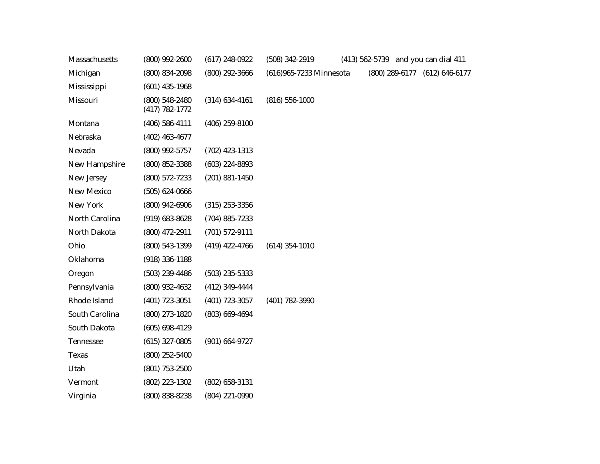| Massachusetts     | $(800)$ 992-2600                         | $(617)$ 248-0922   | $(508)$ 342-2919        |  | (413) 562-5739 and you can dial 411 |
|-------------------|------------------------------------------|--------------------|-------------------------|--|-------------------------------------|
| Michigan          | $(800) 834 - 2098$                       | $(800)$ 292-3666   | (616)965-7233 Minnesota |  | (800) 289-6177 (612) 646-6177       |
| Mississippi       | $(601)$ 435-1968                         |                    |                         |  |                                     |
| Missouri          | $(800) 548 - 2480$<br>$(417) 782 - 1772$ | $(314) 634 - 4161$ | $(816) 556 - 1000$      |  |                                     |
| Montana           | $(406)$ 586-4111                         | $(406)$ 259-8100   |                         |  |                                     |
| Nebraska          | $(402)$ 463-4677                         |                    |                         |  |                                     |
| Nevada            | (800) 992-5757                           | $(702)$ 423-1313   |                         |  |                                     |
| New Hampshire     | $(800) 852 - 3388$                       | $(603)$ 224-8893   |                         |  |                                     |
| New Jersey        | $(800)$ 572-7233                         | $(201)$ 881-1450   |                         |  |                                     |
| <b>New Mexico</b> | $(505) 624 - 0666$                       |                    |                         |  |                                     |
| New York          | $(800)$ 942-6906                         | $(315)$ 253-3356   |                         |  |                                     |
| North Carolina    | $(919) 683 - 8628$                       | $(704)$ 885-7233   |                         |  |                                     |
| North Dakota      | $(800)$ 472-2911                         | $(701)$ 572-9111   |                         |  |                                     |
| Ohio              | $(800)$ 543-1399                         | $(419)$ 422-4766   | $(614)$ 354-1010        |  |                                     |
| Oklahoma          | $(918)$ 336-1188                         |                    |                         |  |                                     |
| Oregon            | $(503)$ 239-4486                         | $(503)$ 235-5333   |                         |  |                                     |
| Pennsylvania      | $(800)$ 932-4632                         | $(412)$ 349-4444   |                         |  |                                     |
| Rhode Island      | $(401)$ 723-3051                         | $(401)$ 723-3057   | $(401)$ 782-3990        |  |                                     |
| South Carolina    | $(800)$ 273-1820                         | $(803) 669 - 4694$ |                         |  |                                     |
| South Dakota      | $(605) 698 - 4129$                       |                    |                         |  |                                     |
| Tennessee         | $(615)$ 327-0805                         | $(901) 664 - 9727$ |                         |  |                                     |
| <b>Texas</b>      | $(800)$ 252-5400                         |                    |                         |  |                                     |
| Utah              | $(801)$ 753-2500                         |                    |                         |  |                                     |
| Vermont           | $(802)$ 223-1302                         | $(802)$ 658-3131   |                         |  |                                     |
| Virginia          | $(800) 838 - 8238$                       | $(804)$ 221-0990   |                         |  |                                     |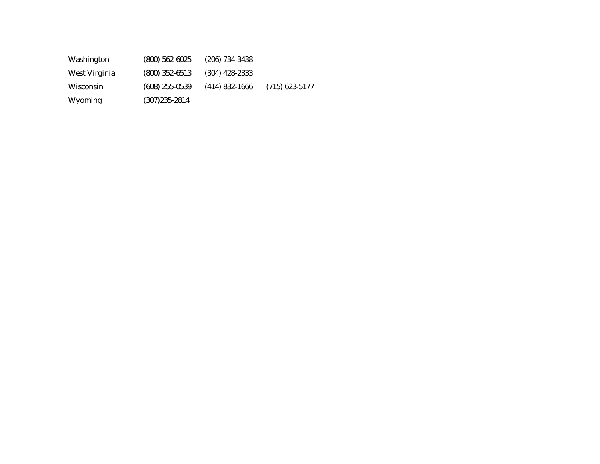| Washington     | $(800)$ 562-6025  | $(206)$ 734-3438 |                  |
|----------------|-------------------|------------------|------------------|
| West Virginia  | $(800)$ 352-6513  | $(304)$ 428-2333 |                  |
| Wisconsin      | $(608)$ 255-0539  | $(414)$ 832-1666 | $(715)$ 623-5177 |
| <b>Wyoming</b> | $(307)235 - 2814$ |                  |                  |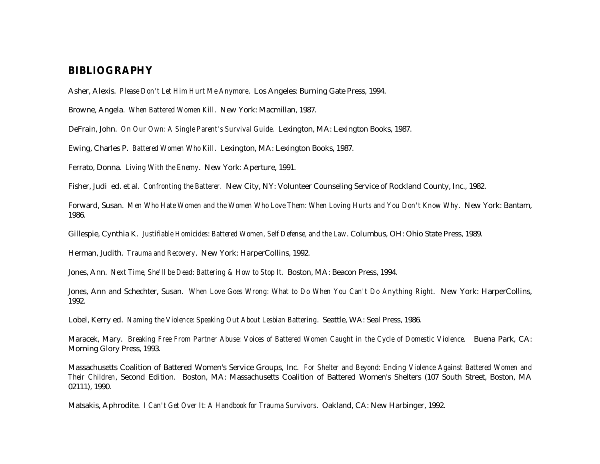## **BIBLIOGRAPHY**

Asher, Alexis. *Please Don't Let Him Hurt Me Anymore*. Los Angeles: Burning Gate Press, 1994.

Browne, Angela. *When Battered Women Kill*. New York: Macmillan, 1987.

DeFrain, John. *On Our Own: A Single Parent's Survival Guide.* Lexington, MA: Lexington Books, 1987.

Ewing, Charles P. *Battered Women Who Kill*. Lexington, MA: Lexington Books, 1987.

Ferrato, Donna. *Living With the Enemy*. New York: Aperture, 1991.

Fisher, Judi ed. et al. *Confronting the Batterer.* New City, NY: Volunteer Counseling Service of Rockland County, Inc., 1982.

Forward, Susan. *Men Who Hate Women and the Women Who Love Them: When Loving Hurts and You Don't Know Why*. New York: Bantam, 1986.

Gillespie, Cynthia K. *Justifiable Homicides*: *Battered Women, Self Defense, and the Law*. Columbus, OH: Ohio State Press, 1989.

Herman, Judith. *Trauma and Recovery*. New York: HarperCollins, 1992.

Jones, Ann. *Next Time, She'll be Dead: Battering & How to Stop It*. Boston, MA: Beacon Press, 1994.

Jones, Ann and Schechter, Susan. *When Love Goes Wrong: What to Do When You Can't Do Anything Right*. New York: HarperCollins, 1992.

Lobel, Kerry ed. *Naming the Violence: Speaking Out About Lesbian Battering*. Seattle, WA: Seal Press, 1986.

Maracek, Mary. *Breaking Free From Partner Abuse: Voices of Battered Women Caught in the Cycle of Domestic Violence.* Buena Park, CA: Morning Glory Press, 1993.

Massachusetts Coalition of Battered Women's Service Groups, Inc. *For Shelter and Beyond: Ending Violence Against Battered Women and Their Children*, Second Edition. Boston, MA: Massachusetts Coalition of Battered Women's Shelters (107 South Street, Boston, MA 02111), 1990.

Matsakis, Aphrodite. *I Can't Get Over It: A Handbook for Trauma Survivors*. Oakland, CA: New Harbinger, 1992.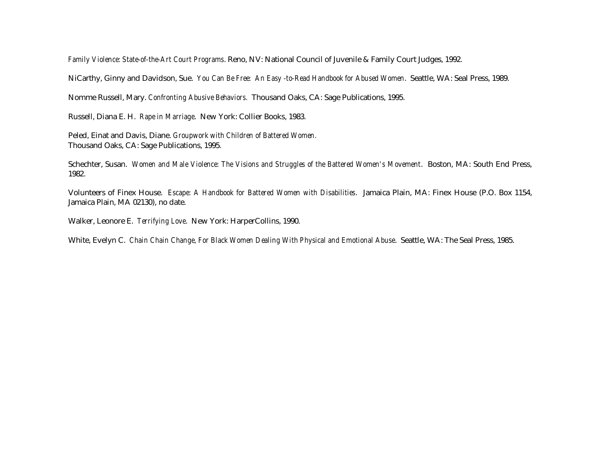*Family Violence: State-of-the-Art Court Programs*. Reno, NV: National Council of Juvenile & Family Court Judges, 1992.

NiCarthy, Ginny and Davidson, Sue. *You Can Be Free: An Easy -to-Read Handbook for Abused Women*. Seattle, WA: Seal Press, 1989.

Nomme Russell, Mary. *Confronting Abusive Behaviors.* Thousand Oaks, CA: Sage Publications, 1995.

Russell, Diana E. H. *Rape in Marriage*. New York: Collier Books, 1983.

Peled, Einat and Davis, Diane. *Groupwork with Children of Battered Women.* Thousand Oaks, CA: Sage Publications, 1995.

Schechter, Susan. Women and Male Violence: The Visions and Struggles of the Battered Women's Movement. Boston, MA: South End Press, 1982.

Volunteers of Finex House. *Escape: A Handbook for Battered Women with Disabilities*. Jamaica Plain, MA: Finex House (P.O. Box 1154, Jamaica Plain, MA 02130), no date.

Walker, Leonore E. *Terrifying Love*. New York: HarperCollins, 1990.

White, Evelyn C. *Chain Chain Change, For Black Women Dealing With Physical and Emotional Abuse*. Seattle, WA: The Seal Press, 1985.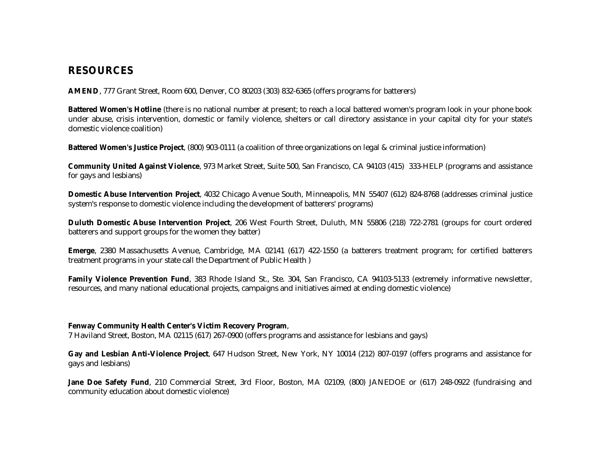# **RESOURCES**

**AMEND**, 777 Grant Street, Room 600, Denver, CO 80203 (303) 832-6365 (offers programs for batterers)

**Battered Women's Hotline** (there is no national number at present; to reach a local battered women's program look in your phone book under abuse, crisis intervention, domestic or family violence, shelters or call directory assistance in your capital city for your state's domestic violence coalition)

**Battered Women's Justice Project**, (800) 903-0111 (a coalition of three organizations on legal & criminal justice information)

**Community United Against Violence**, 973 Market Street, Suite 500, San Francisco, CA 94103 (415) 333-HELP (programs and assistance for gays and lesbians)

**Domestic Abuse Intervention Project**, 4032 Chicago Avenue South, Minneapolis, MN 55407 (612) 824-8768 (addresses criminal justice system's response to domestic violence including the development of batterers' programs)

**Duluth Domestic Abuse Intervention Project**, 206 West Fourth Street, Duluth, MN 55806 (218) 722-2781 (groups for court ordered batterers and support groups for the women they batter)

**Emerge**, 2380 Massachusetts Avenue, Cambridge, MA 02141 (617) 422-1550 (a batterers treatment program; for certified batterers treatment programs in your state call the Department of Public Health )

**Family Violence Prevention Fund**, 383 Rhode Island St., Ste. 304, San Francisco, CA 94103-5133 (extremely informative newsletter, resources, and many national educational projects, campaigns and initiatives aimed at ending domestic violence)

#### **Fenway Community Health Center's Victim Recovery Program**,

7 Haviland Street, Boston, MA 02115 (617) 267-0900 (offers programs and assistance for lesbians and gays)

**Gay and Lesbian Anti-Violence Project**, 647 Hudson Street, New York, NY 10014 (212) 807-0197 (offers programs and assistance for gays and lesbians)

**Jane Doe Safety Fund**, 210 Commercial Street, 3rd Floor, Boston, MA 02109, (800) JANEDOE or (617) 248-0922 (fundraising and community education about domestic violence)